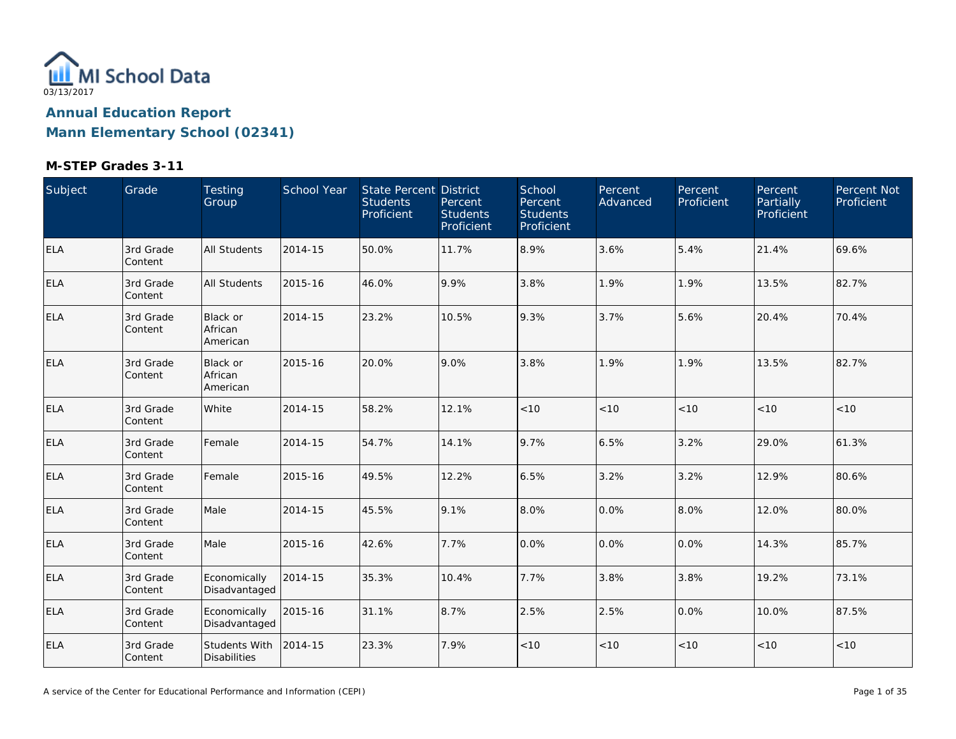

| Subject    | Grade                | Testing<br>Group                       | School Year | State Percent District<br><b>Students</b><br>Proficient | Percent<br><b>Students</b><br>Proficient | School<br>Percent<br><b>Students</b><br>Proficient | Percent<br>Advanced | Percent<br>Proficient | <b>Percent</b><br>Partially<br>Proficient | Percent Not<br>Proficient |
|------------|----------------------|----------------------------------------|-------------|---------------------------------------------------------|------------------------------------------|----------------------------------------------------|---------------------|-----------------------|-------------------------------------------|---------------------------|
| <b>ELA</b> | 3rd Grade<br>Content | <b>All Students</b>                    | 2014-15     | 50.0%                                                   | 11.7%                                    | 8.9%                                               | 3.6%                | 5.4%                  | 21.4%                                     | 69.6%                     |
| ELA        | 3rd Grade<br>Content | <b>All Students</b>                    | 2015-16     | 46.0%                                                   | 9.9%                                     | 3.8%                                               | 1.9%                | 1.9%                  | 13.5%                                     | 82.7%                     |
| <b>ELA</b> | 3rd Grade<br>Content | <b>Black or</b><br>African<br>American | 2014-15     | 23.2%                                                   | 10.5%                                    | 9.3%                                               | 3.7%                | 5.6%                  | 20.4%                                     | 70.4%                     |
| <b>ELA</b> | 3rd Grade<br>Content | <b>Black or</b><br>African<br>American | 2015-16     | 20.0%                                                   | 9.0%                                     | 3.8%                                               | 1.9%                | 1.9%                  | 13.5%                                     | 82.7%                     |
| <b>ELA</b> | 3rd Grade<br>Content | White                                  | 2014-15     | 58.2%                                                   | 12.1%                                    | < 10                                               | < 10                | < 10                  | < 10                                      | < 10                      |
| <b>ELA</b> | 3rd Grade<br>Content | Female                                 | 2014-15     | 54.7%                                                   | 14.1%                                    | 9.7%                                               | 6.5%                | 3.2%                  | 29.0%                                     | 61.3%                     |
| <b>ELA</b> | 3rd Grade<br>Content | Female                                 | 2015-16     | 49.5%                                                   | 12.2%                                    | 6.5%                                               | 3.2%                | 3.2%                  | 12.9%                                     | 80.6%                     |
| <b>ELA</b> | 3rd Grade<br>Content | Male                                   | 2014-15     | 45.5%                                                   | 9.1%                                     | 8.0%                                               | 0.0%                | 8.0%                  | 12.0%                                     | 80.0%                     |
| <b>ELA</b> | 3rd Grade<br>Content | Male                                   | 2015-16     | 42.6%                                                   | 7.7%                                     | 0.0%                                               | 0.0%                | 0.0%                  | 14.3%                                     | 85.7%                     |
| <b>ELA</b> | 3rd Grade<br>Content | Economically<br>Disadvantaged          | 2014-15     | 35.3%                                                   | 10.4%                                    | 7.7%                                               | 3.8%                | 3.8%                  | 19.2%                                     | 73.1%                     |
| <b>ELA</b> | 3rd Grade<br>Content | Economically<br>Disadvantaged          | 2015-16     | 31.1%                                                   | 8.7%                                     | 2.5%                                               | 2.5%                | 0.0%                  | 10.0%                                     | 87.5%                     |
| <b>ELA</b> | 3rd Grade<br>Content | Students With<br><b>Disabilities</b>   | 2014-15     | 23.3%                                                   | 7.9%                                     | < 10                                               | $<10$               | < 10                  | < 10                                      | < 10                      |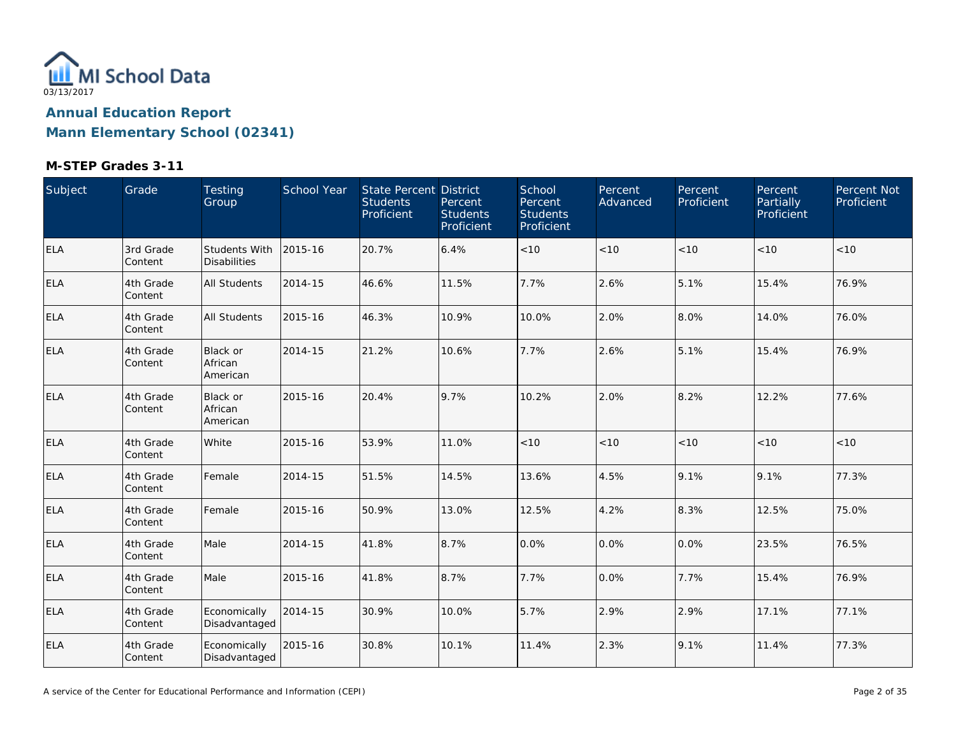

| Subject    | Grade                | Testing<br>Group                     | School Year | State Percent District<br><b>Students</b><br>Proficient | Percent<br><b>Students</b><br>Proficient | School<br>Percent<br><b>Students</b><br>Proficient | Percent<br>Advanced | Percent<br>Proficient | Percent<br>Partially<br>Proficient | Percent Not<br>Proficient |
|------------|----------------------|--------------------------------------|-------------|---------------------------------------------------------|------------------------------------------|----------------------------------------------------|---------------------|-----------------------|------------------------------------|---------------------------|
| <b>ELA</b> | 3rd Grade<br>Content | Students With<br><b>Disabilities</b> | 2015-16     | 20.7%                                                   | 6.4%                                     | < 10                                               | < 10                | < 10                  | < 10                               | < 10                      |
| <b>ELA</b> | 4th Grade<br>Content | All Students                         | 2014-15     | 46.6%                                                   | 11.5%                                    | 7.7%                                               | 2.6%                | 5.1%                  | 15.4%                              | 76.9%                     |
| ELA        | 4th Grade<br>Content | All Students                         | 2015-16     | 46.3%                                                   | 10.9%                                    | 10.0%                                              | 2.0%                | 8.0%                  | 14.0%                              | 76.0%                     |
| <b>ELA</b> | 4th Grade<br>Content | Black or<br>African<br>American      | 2014-15     | 21.2%                                                   | 10.6%                                    | 7.7%                                               | 2.6%                | 5.1%                  | 15.4%                              | 76.9%                     |
| ELA        | 4th Grade<br>Content | Black or<br>African<br>American      | 2015-16     | 20.4%                                                   | 9.7%                                     | 10.2%                                              | 2.0%                | 8.2%                  | 12.2%                              | 77.6%                     |
| <b>ELA</b> | 4th Grade<br>Content | White                                | 2015-16     | 53.9%                                                   | 11.0%                                    | < 10                                               | < 10                | < 10                  | < 10                               | < 10                      |
| <b>ELA</b> | 4th Grade<br>Content | Female                               | 2014-15     | 51.5%                                                   | 14.5%                                    | 13.6%                                              | 4.5%                | 9.1%                  | 9.1%                               | 77.3%                     |
| <b>ELA</b> | 4th Grade<br>Content | Female                               | 2015-16     | 50.9%                                                   | 13.0%                                    | 12.5%                                              | 4.2%                | 8.3%                  | 12.5%                              | 75.0%                     |
| <b>ELA</b> | 4th Grade<br>Content | Male                                 | 2014-15     | 41.8%                                                   | 8.7%                                     | 0.0%                                               | 0.0%                | 0.0%                  | 23.5%                              | 76.5%                     |
| ELA        | 4th Grade<br>Content | Male                                 | 2015-16     | 41.8%                                                   | 8.7%                                     | 7.7%                                               | 0.0%                | 7.7%                  | 15.4%                              | 76.9%                     |
| <b>ELA</b> | 4th Grade<br>Content | Economically<br>Disadvantaged        | 2014-15     | 30.9%                                                   | 10.0%                                    | 5.7%                                               | 2.9%                | 2.9%                  | 17.1%                              | 77.1%                     |
| <b>ELA</b> | 4th Grade<br>Content | Economically<br>Disadvantaged        | 2015-16     | 30.8%                                                   | 10.1%                                    | 11.4%                                              | 2.3%                | 9.1%                  | 11.4%                              | 77.3%                     |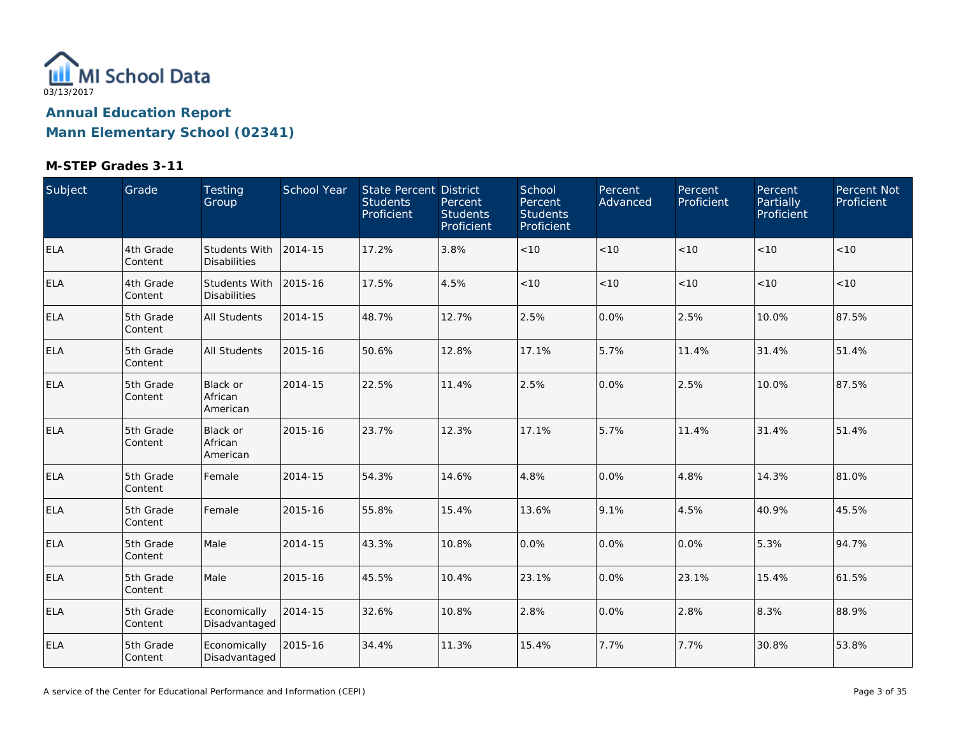

| Subject    | Grade                | Testing<br>Group                            | School Year | State Percent District<br><b>Students</b><br>Proficient | Percent<br><b>Students</b><br>Proficient | School<br>Percent<br><b>Students</b><br>Proficient | Percent<br>Advanced | Percent<br>Proficient | Percent,<br>Partially<br>Proficient | Percent Not<br>Proficient |
|------------|----------------------|---------------------------------------------|-------------|---------------------------------------------------------|------------------------------------------|----------------------------------------------------|---------------------|-----------------------|-------------------------------------|---------------------------|
| <b>ELA</b> | 4th Grade<br>Content | Students With<br><b>Disabilities</b>        | 2014-15     | 17.2%                                                   | 3.8%                                     | < 10                                               | < 10                | < 10                  | < 10                                | < 10                      |
| ELA        | 4th Grade<br>Content | <b>Students With</b><br><b>Disabilities</b> | 2015-16     | 17.5%                                                   | 4.5%                                     | < 10                                               | < 10                | < 10                  | < 10                                | < 10                      |
| <b>ELA</b> | 5th Grade<br>Content | All Students                                | 2014-15     | 48.7%                                                   | 12.7%                                    | 2.5%                                               | 0.0%                | 2.5%                  | 10.0%                               | 87.5%                     |
| <b>ELA</b> | 5th Grade<br>Content | All Students                                | 2015-16     | 50.6%                                                   | 12.8%                                    | 17.1%                                              | 5.7%                | 11.4%                 | 31.4%                               | 51.4%                     |
| <b>ELA</b> | 5th Grade<br>Content | Black or<br>African<br>American             | 2014-15     | 22.5%                                                   | 11.4%                                    | 2.5%                                               | 0.0%                | 2.5%                  | 10.0%                               | 87.5%                     |
| <b>ELA</b> | 5th Grade<br>Content | Black or<br>African<br>American             | 2015-16     | 23.7%                                                   | 12.3%                                    | 17.1%                                              | 5.7%                | 11.4%                 | 31.4%                               | 51.4%                     |
| <b>ELA</b> | 5th Grade<br>Content | Female                                      | 2014-15     | 54.3%                                                   | 14.6%                                    | 4.8%                                               | 0.0%                | 4.8%                  | 14.3%                               | 81.0%                     |
| <b>ELA</b> | 5th Grade<br>Content | Female                                      | 2015-16     | 55.8%                                                   | 15.4%                                    | 13.6%                                              | 9.1%                | 4.5%                  | 40.9%                               | 45.5%                     |
| <b>ELA</b> | 5th Grade<br>Content | Male                                        | 2014-15     | 43.3%                                                   | 10.8%                                    | 0.0%                                               | 0.0%                | 0.0%                  | 5.3%                                | 94.7%                     |
| ELA        | 5th Grade<br>Content | Male                                        | 2015-16     | 45.5%                                                   | 10.4%                                    | 23.1%                                              | 0.0%                | 23.1%                 | 15.4%                               | 61.5%                     |
| <b>ELA</b> | 5th Grade<br>Content | Economically<br>Disadvantaged               | 2014-15     | 32.6%                                                   | 10.8%                                    | 2.8%                                               | 0.0%                | 2.8%                  | 8.3%                                | 88.9%                     |
| <b>ELA</b> | 5th Grade<br>Content | Economically<br>Disadvantaged               | 2015-16     | 34.4%                                                   | 11.3%                                    | 15.4%                                              | 7.7%                | 7.7%                  | 30.8%                               | 53.8%                     |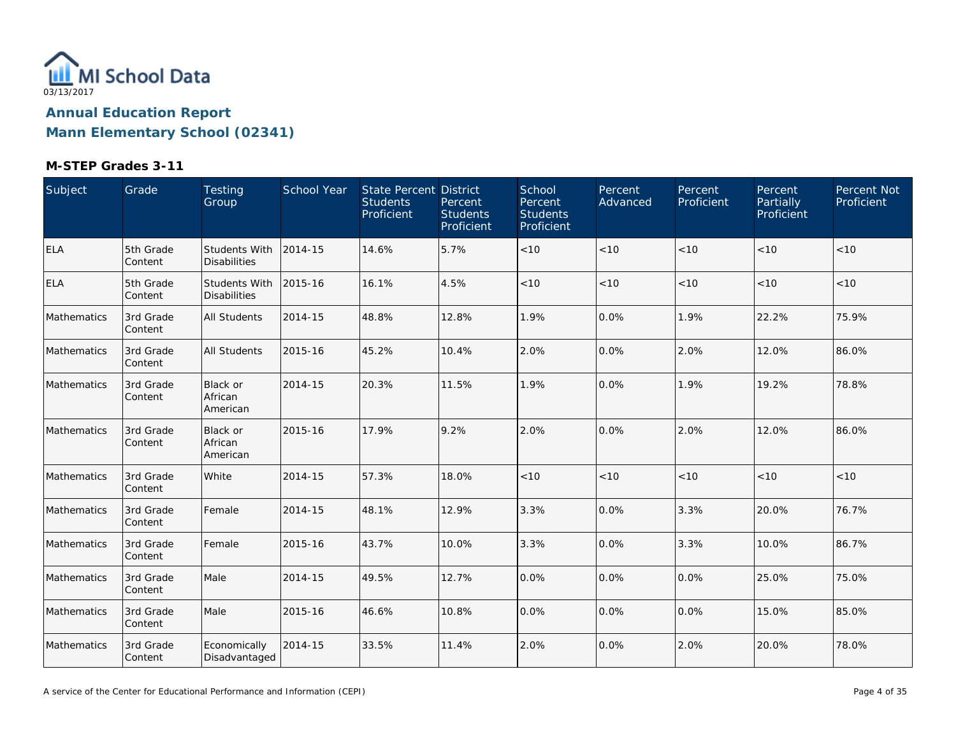

| Subject            | Grade                | Testing<br>Group                            | School Year | State Percent District<br><b>Students</b><br>Proficient | Percent<br><b>Students</b><br>Proficient | School<br>Percent<br><b>Students</b><br>Proficient | Percent<br>Advanced | Percent<br>Proficient | Percent<br>Partially<br>Proficient | Percent Not<br>Proficient |
|--------------------|----------------------|---------------------------------------------|-------------|---------------------------------------------------------|------------------------------------------|----------------------------------------------------|---------------------|-----------------------|------------------------------------|---------------------------|
| <b>ELA</b>         | 5th Grade<br>Content | <b>Students With</b><br><b>Disabilities</b> | 2014-15     | 14.6%                                                   | 5.7%                                     | < 10                                               | < 10                | < 10                  | < 10                               | < 10                      |
| ELA                | 5th Grade<br>Content | <b>Students With</b><br><b>Disabilities</b> | 2015-16     | 16.1%                                                   | 4.5%                                     | < 10                                               | < 10                | < 10                  | < 10                               | < 10                      |
| Mathematics        | 3rd Grade<br>Content | <b>All Students</b>                         | 2014-15     | 48.8%                                                   | 12.8%                                    | 1.9%                                               | 0.0%                | 1.9%                  | 22.2%                              | 75.9%                     |
| Mathematics        | 3rd Grade<br>Content | <b>All Students</b>                         | 2015-16     | 45.2%                                                   | 10.4%                                    | 2.0%                                               | 0.0%                | 2.0%                  | 12.0%                              | 86.0%                     |
| Mathematics        | 3rd Grade<br>Content | Black or<br>African<br>American             | 2014-15     | 20.3%                                                   | 11.5%                                    | 1.9%                                               | 0.0%                | 1.9%                  | 19.2%                              | 78.8%                     |
| Mathematics        | 3rd Grade<br>Content | Black or<br>African<br>American             | 2015-16     | 17.9%                                                   | 9.2%                                     | 2.0%                                               | 0.0%                | 2.0%                  | 12.0%                              | 86.0%                     |
| Mathematics        | 3rd Grade<br>Content | White                                       | 2014-15     | 57.3%                                                   | 18.0%                                    | $<10$                                              | $<10$               | < 10                  | < 10                               | < 10                      |
| Mathematics        | 3rd Grade<br>Content | Female                                      | 2014-15     | 48.1%                                                   | 12.9%                                    | 3.3%                                               | 0.0%                | 3.3%                  | 20.0%                              | 76.7%                     |
| <b>Mathematics</b> | 3rd Grade<br>Content | Female                                      | 2015-16     | 43.7%                                                   | 10.0%                                    | 3.3%                                               | 0.0%                | 3.3%                  | 10.0%                              | 86.7%                     |
| Mathematics        | 3rd Grade<br>Content | Male                                        | 2014-15     | 49.5%                                                   | 12.7%                                    | 0.0%                                               | 0.0%                | 0.0%                  | 25.0%                              | 75.0%                     |
| Mathematics        | 3rd Grade<br>Content | Male                                        | 2015-16     | 46.6%                                                   | 10.8%                                    | 0.0%                                               | 0.0%                | 0.0%                  | 15.0%                              | 85.0%                     |
| Mathematics        | 3rd Grade<br>Content | Economically<br>Disadvantaged               | 2014-15     | 33.5%                                                   | 11.4%                                    | 2.0%                                               | 0.0%                | 2.0%                  | 20.0%                              | 78.0%                     |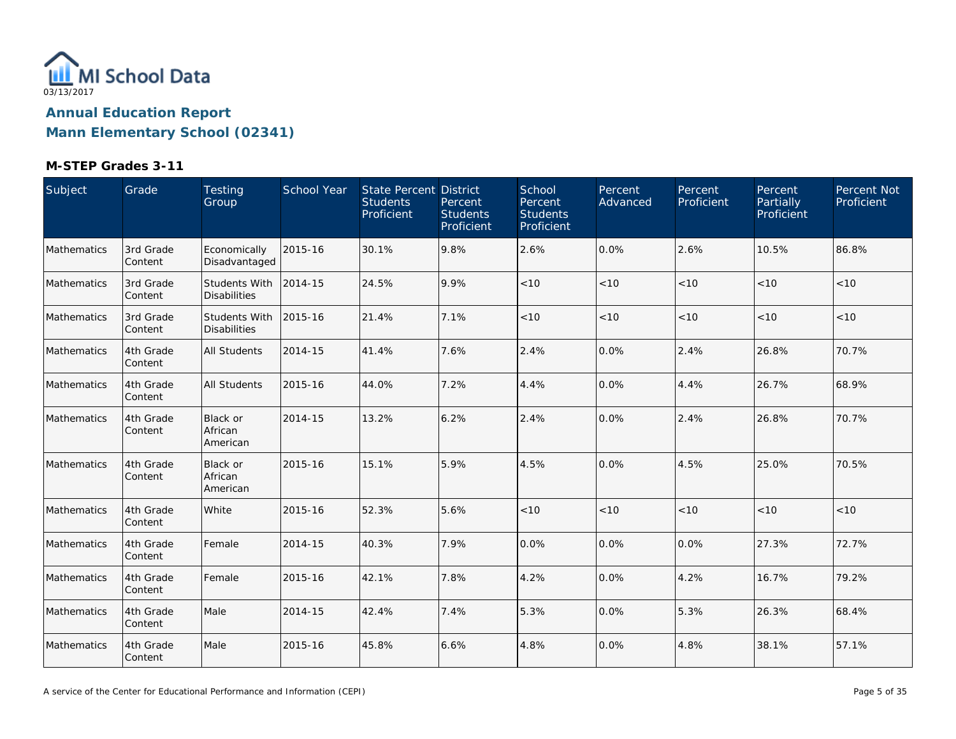

| Subject     | Grade                | Testing<br>Group                            | <b>School Year</b> | State Percent District<br><b>Students</b><br>Proficient | Percent<br><b>Students</b><br>Proficient | School<br>Percent<br><b>Students</b><br>Proficient | Percent<br>Advanced | Percent<br>Proficient | Percent<br>Partially<br>Proficient | Percent Not<br>Proficient |
|-------------|----------------------|---------------------------------------------|--------------------|---------------------------------------------------------|------------------------------------------|----------------------------------------------------|---------------------|-----------------------|------------------------------------|---------------------------|
| Mathematics | 3rd Grade<br>Content | Economically<br>Disadvantaged               | 2015-16            | 30.1%                                                   | 9.8%                                     | 2.6%                                               | 0.0%                | 2.6%                  | 10.5%                              | 86.8%                     |
| Mathematics | 3rd Grade<br>Content | Students With<br><b>Disabilities</b>        | 2014-15            | 24.5%                                                   | 9.9%                                     | < 10                                               | < 10                | < 10                  | < 10                               | < 10                      |
| Mathematics | 3rd Grade<br>Content | <b>Students With</b><br><b>Disabilities</b> | 2015-16            | 21.4%                                                   | 7.1%                                     | < 10                                               | < 10                | < 10                  | < 10                               | < 10                      |
| Mathematics | 4th Grade<br>Content | <b>All Students</b>                         | 2014-15            | 41.4%                                                   | 7.6%                                     | 2.4%                                               | 0.0%                | 2.4%                  | 26.8%                              | 70.7%                     |
| Mathematics | 4th Grade<br>Content | <b>All Students</b>                         | 2015-16            | 44.0%                                                   | 7.2%                                     | 4.4%                                               | 0.0%                | 4.4%                  | 26.7%                              | 68.9%                     |
| Mathematics | 4th Grade<br>Content | <b>Black or</b><br>African<br>American      | 2014-15            | 13.2%                                                   | 6.2%                                     | 2.4%                                               | 0.0%                | 2.4%                  | 26.8%                              | 70.7%                     |
| Mathematics | 4th Grade<br>Content | <b>Black or</b><br>African<br>American      | 2015-16            | 15.1%                                                   | 5.9%                                     | 4.5%                                               | 0.0%                | 4.5%                  | 25.0%                              | 70.5%                     |
| Mathematics | 4th Grade<br>Content | White                                       | 2015-16            | 52.3%                                                   | 5.6%                                     | < 10                                               | < 10                | < 10                  | < 10                               | $<10$                     |
| Mathematics | 4th Grade<br>Content | Female                                      | 2014-15            | 40.3%                                                   | 7.9%                                     | 0.0%                                               | 0.0%                | 0.0%                  | 27.3%                              | 72.7%                     |
| Mathematics | 4th Grade<br>Content | Female                                      | 2015-16            | 42.1%                                                   | 7.8%                                     | 4.2%                                               | 0.0%                | 4.2%                  | 16.7%                              | 79.2%                     |
| Mathematics | 4th Grade<br>Content | Male                                        | 2014-15            | 42.4%                                                   | 7.4%                                     | 5.3%                                               | 0.0%                | 5.3%                  | 26.3%                              | 68.4%                     |
| Mathematics | 4th Grade<br>Content | Male                                        | 2015-16            | 45.8%                                                   | 6.6%                                     | 4.8%                                               | 0.0%                | 4.8%                  | 38.1%                              | 57.1%                     |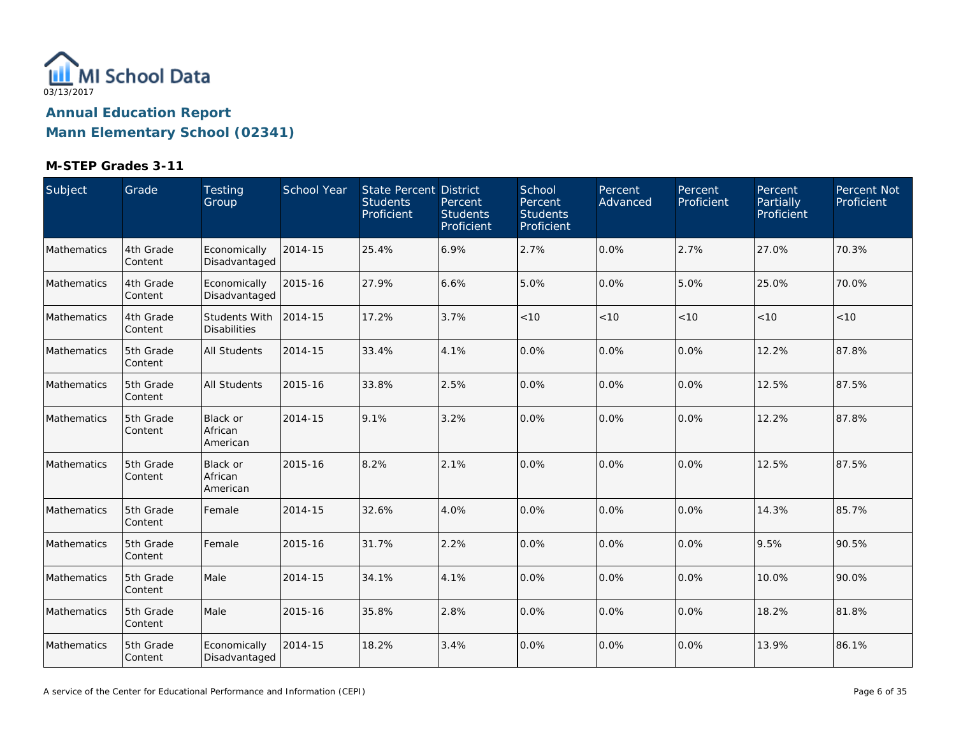

| Subject     | Grade                | Testing<br>Group                            | School Year | State Percent District<br><b>Students</b><br>Proficient | Percent<br><b>Students</b><br>Proficient | School<br>Percent<br><b>Students</b><br>Proficient | Percent<br>Advanced | Percent<br>Proficient | Percent<br>Partially<br>Proficient | Percent Not<br>Proficient |
|-------------|----------------------|---------------------------------------------|-------------|---------------------------------------------------------|------------------------------------------|----------------------------------------------------|---------------------|-----------------------|------------------------------------|---------------------------|
| Mathematics | 4th Grade<br>Content | Economically<br>Disadvantaged               | 2014-15     | 25.4%                                                   | 6.9%                                     | 2.7%                                               | 0.0%                | 2.7%                  | 27.0%                              | 70.3%                     |
| Mathematics | 4th Grade<br>Content | Economically<br>Disadvantaged               | 2015-16     | 27.9%                                                   | 6.6%                                     | 5.0%                                               | 0.0%                | 5.0%                  | 25.0%                              | 70.0%                     |
| Mathematics | 4th Grade<br>Content | <b>Students With</b><br><b>Disabilities</b> | 2014-15     | 17.2%                                                   | 3.7%                                     | < 10                                               | < 10                | < 10                  | < 10                               | < 10                      |
| Mathematics | 5th Grade<br>Content | <b>All Students</b>                         | 2014-15     | 33.4%                                                   | 4.1%                                     | 0.0%                                               | 0.0%                | 0.0%                  | 12.2%                              | 87.8%                     |
| Mathematics | 5th Grade<br>Content | <b>All Students</b>                         | 2015-16     | 33.8%                                                   | 2.5%                                     | 0.0%                                               | 0.0%                | 0.0%                  | 12.5%                              | 87.5%                     |
| Mathematics | 5th Grade<br>Content | <b>Black or</b><br>African<br>American      | 2014-15     | 9.1%                                                    | 3.2%                                     | 0.0%                                               | 0.0%                | 0.0%                  | 12.2%                              | 87.8%                     |
| Mathematics | 5th Grade<br>Content | Black or<br>African<br>American             | 2015-16     | 8.2%                                                    | 2.1%                                     | 0.0%                                               | 0.0%                | 0.0%                  | 12.5%                              | 87.5%                     |
| Mathematics | 5th Grade<br>Content | Female                                      | 2014-15     | 32.6%                                                   | 4.0%                                     | 0.0%                                               | 0.0%                | 0.0%                  | 14.3%                              | 85.7%                     |
| Mathematics | 5th Grade<br>Content | Female                                      | 2015-16     | 31.7%                                                   | 2.2%                                     | 0.0%                                               | 0.0%                | 0.0%                  | 9.5%                               | 90.5%                     |
| Mathematics | 5th Grade<br>Content | Male                                        | 2014-15     | 34.1%                                                   | 4.1%                                     | 0.0%                                               | 0.0%                | 0.0%                  | 10.0%                              | 90.0%                     |
| Mathematics | 5th Grade<br>Content | Male                                        | 2015-16     | 35.8%                                                   | 2.8%                                     | 0.0%                                               | 0.0%                | 0.0%                  | 18.2%                              | 81.8%                     |
| Mathematics | 5th Grade<br>Content | Economically<br>Disadvantaged               | 2014-15     | 18.2%                                                   | 3.4%                                     | 0.0%                                               | 0.0%                | 0.0%                  | 13.9%                              | 86.1%                     |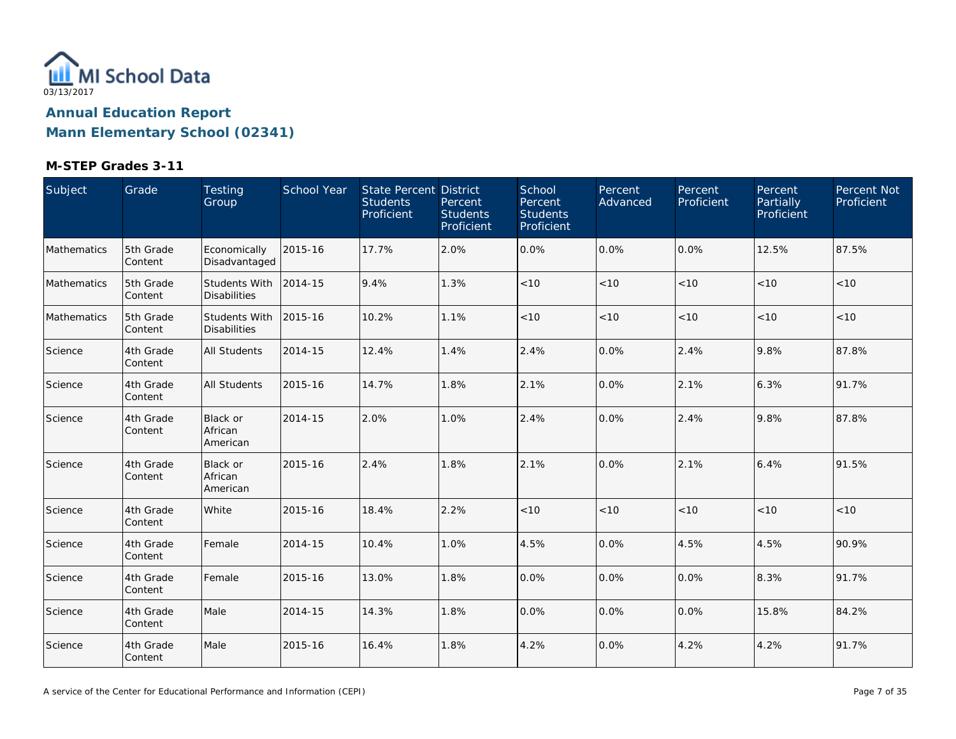

| Subject     | Grade                | Testing<br>Group                            | School Year | State Percent District<br><b>Students</b><br>Proficient | Percent<br><b>Students</b><br>Proficient | School<br>Percent<br><b>Students</b><br>Proficient | Percent<br>Advanced | Percent<br>Proficient | Percent<br>Partially<br>Proficient | Percent Not<br>Proficient |
|-------------|----------------------|---------------------------------------------|-------------|---------------------------------------------------------|------------------------------------------|----------------------------------------------------|---------------------|-----------------------|------------------------------------|---------------------------|
| Mathematics | 5th Grade<br>Content | Economically<br>Disadvantaged               | 2015-16     | 17.7%                                                   | 2.0%                                     | 0.0%                                               | 0.0%                | 0.0%                  | 12.5%                              | 87.5%                     |
| Mathematics | 5th Grade<br>Content | Students With<br><b>Disabilities</b>        | 2014-15     | 9.4%                                                    | 1.3%                                     | < 10                                               | < 10                | < 10                  | < 10                               | < 10                      |
| Mathematics | 5th Grade<br>Content | <b>Students With</b><br><b>Disabilities</b> | 2015-16     | 10.2%                                                   | 1.1%                                     | < 10                                               | < 10                | < 10                  | < 10                               | $<10$                     |
| Science     | 4th Grade<br>Content | <b>All Students</b>                         | 2014-15     | 12.4%                                                   | 1.4%                                     | 2.4%                                               | 0.0%                | 2.4%                  | 9.8%                               | 87.8%                     |
| Science     | 4th Grade<br>Content | <b>All Students</b>                         | 2015-16     | 14.7%                                                   | 1.8%                                     | 2.1%                                               | 0.0%                | 2.1%                  | 6.3%                               | 91.7%                     |
| Science     | 4th Grade<br>Content | Black or<br>African<br>American             | 2014-15     | 2.0%                                                    | 1.0%                                     | 2.4%                                               | 0.0%                | 2.4%                  | 9.8%                               | 87.8%                     |
| Science     | 4th Grade<br>Content | Black or<br>African<br>American             | 2015-16     | 2.4%                                                    | 1.8%                                     | 2.1%                                               | 0.0%                | 2.1%                  | 6.4%                               | 91.5%                     |
| Science     | 4th Grade<br>Content | White                                       | 2015-16     | 18.4%                                                   | 2.2%                                     | < 10                                               | $<10$               | $<10$                 | < 10                               | $<10$                     |
| Science     | 4th Grade<br>Content | Female                                      | 2014-15     | 10.4%                                                   | 1.0%                                     | 4.5%                                               | 0.0%                | 4.5%                  | 4.5%                               | 90.9%                     |
| Science     | 4th Grade<br>Content | Female                                      | 2015-16     | 13.0%                                                   | 1.8%                                     | 0.0%                                               | 0.0%                | 0.0%                  | 8.3%                               | 91.7%                     |
| Science     | 4th Grade<br>Content | Male                                        | 2014-15     | 14.3%                                                   | 1.8%                                     | 0.0%                                               | 0.0%                | 0.0%                  | 15.8%                              | 84.2%                     |
| Science     | 4th Grade<br>Content | Male                                        | 2015-16     | 16.4%                                                   | 1.8%                                     | 4.2%                                               | 0.0%                | 4.2%                  | 4.2%                               | 91.7%                     |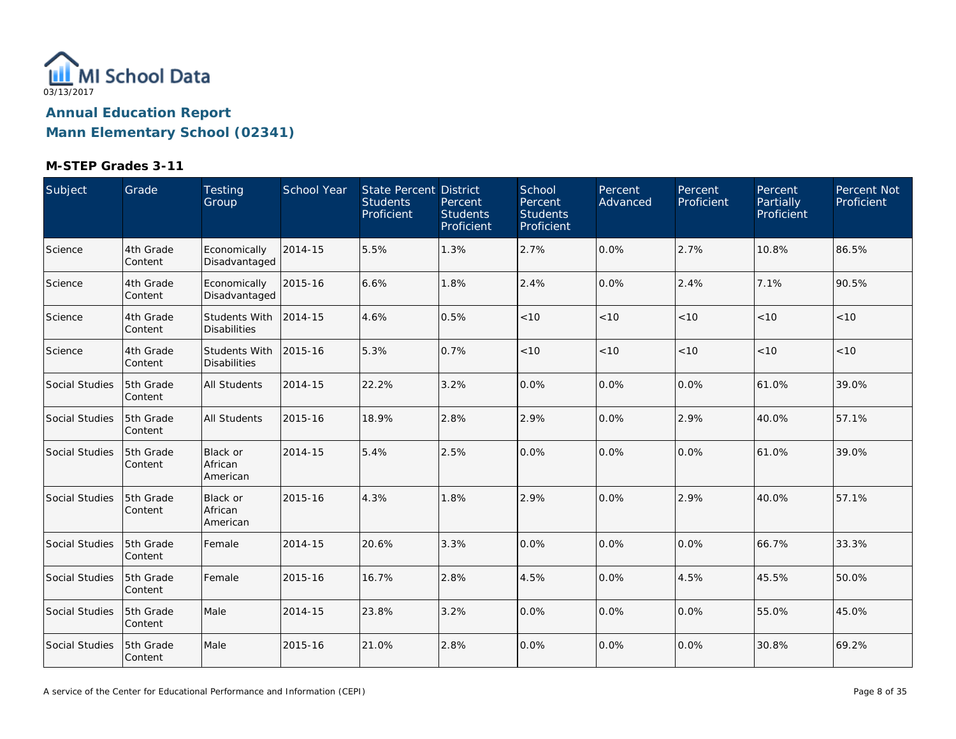

| Subject               | Grade                | Testing<br>Group                            | <b>School Year</b> | <b>State Percent District</b><br><b>Students</b><br>Proficient | Percent<br><b>Students</b><br>Proficient | School<br>Percent<br><b>Students</b><br>Proficient | Percent<br>Advanced | Percent<br>Proficient | Percent<br>Partially<br>Proficient | Percent Not<br>Proficient |
|-----------------------|----------------------|---------------------------------------------|--------------------|----------------------------------------------------------------|------------------------------------------|----------------------------------------------------|---------------------|-----------------------|------------------------------------|---------------------------|
| Science               | 4th Grade<br>Content | Economically<br>Disadvantaged               | 2014-15            | 5.5%                                                           | 1.3%                                     | 2.7%                                               | 0.0%                | 2.7%                  | 10.8%                              | 86.5%                     |
| Science               | 4th Grade<br>Content | Economically<br>Disadvantaged               | 2015-16            | 6.6%                                                           | 1.8%                                     | 2.4%                                               | 0.0%                | 2.4%                  | 7.1%                               | 90.5%                     |
| Science               | 4th Grade<br>Content | <b>Students With</b><br><b>Disabilities</b> | 2014-15            | 4.6%                                                           | 0.5%                                     | < 10                                               | < 10                | < 10                  | < 10                               | < 10                      |
| Science               | 4th Grade<br>Content | <b>Students With</b><br><b>Disabilities</b> | 2015-16            | 5.3%                                                           | 0.7%                                     | < 10                                               | < 10                | < 10                  | < 10                               | < 10                      |
| <b>Social Studies</b> | 5th Grade<br>Content | <b>All Students</b>                         | 2014-15            | 22.2%                                                          | 3.2%                                     | 0.0%                                               | 0.0%                | 0.0%                  | 61.0%                              | 39.0%                     |
| <b>Social Studies</b> | 5th Grade<br>Content | <b>All Students</b>                         | 2015-16            | 18.9%                                                          | 2.8%                                     | 2.9%                                               | 0.0%                | 2.9%                  | 40.0%                              | 57.1%                     |
| Social Studies        | 5th Grade<br>Content | <b>Black or</b><br>African<br>American      | 2014-15            | 5.4%                                                           | 2.5%                                     | 0.0%                                               | 0.0%                | $0.0\%$               | 61.0%                              | 39.0%                     |
| <b>Social Studies</b> | 5th Grade<br>Content | <b>Black or</b><br>African<br>American      | 2015-16            | 4.3%                                                           | 1.8%                                     | 2.9%                                               | 0.0%                | 2.9%                  | 40.0%                              | 57.1%                     |
| Social Studies        | 5th Grade<br>Content | Female                                      | 2014-15            | 20.6%                                                          | 3.3%                                     | 0.0%                                               | 0.0%                | $0.0\%$               | 66.7%                              | 33.3%                     |
| <b>Social Studies</b> | 5th Grade<br>Content | Female                                      | 2015-16            | 16.7%                                                          | 2.8%                                     | 4.5%                                               | 0.0%                | 4.5%                  | 45.5%                              | 50.0%                     |
| <b>Social Studies</b> | 5th Grade<br>Content | Male                                        | 2014-15            | 23.8%                                                          | 3.2%                                     | 0.0%                                               | 0.0%                | $0.0\%$               | 55.0%                              | 45.0%                     |
| Social Studies        | 5th Grade<br>Content | Male                                        | 2015-16            | 21.0%                                                          | 2.8%                                     | 0.0%                                               | 0.0%                | 0.0%                  | 30.8%                              | 69.2%                     |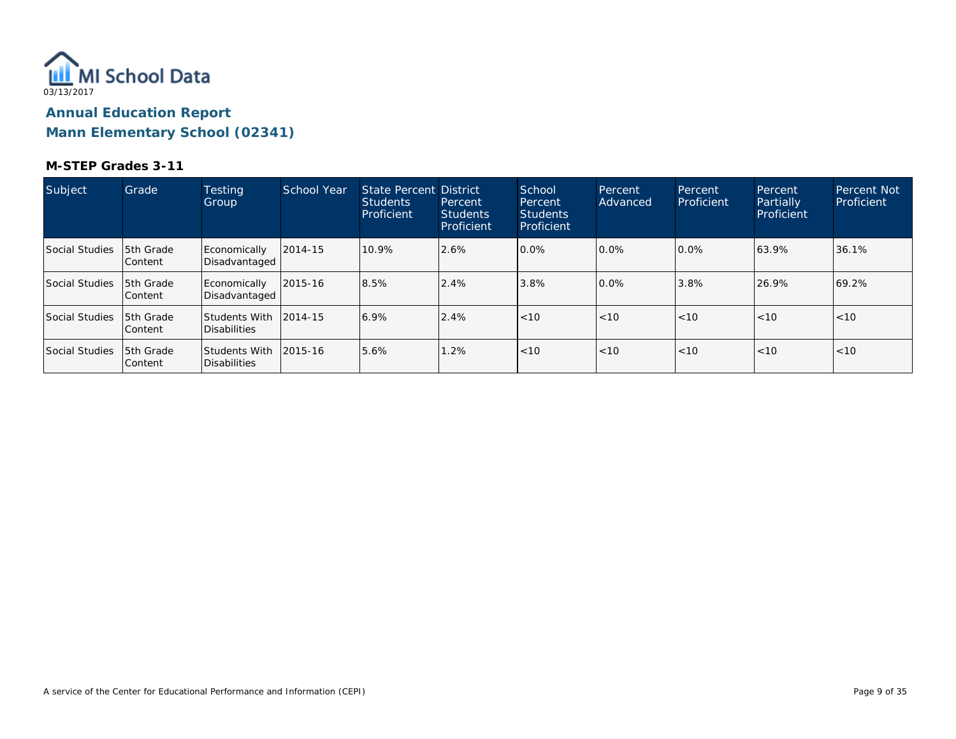

| Subject        | Grade                       | <b>Testing</b><br>Group              | School Year  | State Percent District<br><b>Students</b><br>Proficient | Percent<br><b>Students</b><br>Proficient | School<br>Percent<br><b>Students</b><br>Proficient | Percent<br>Advanced | Percent<br>Proficient | Percent<br>Partially<br>Proficient | <b>Percent Not</b><br>Proficient |
|----------------|-----------------------------|--------------------------------------|--------------|---------------------------------------------------------|------------------------------------------|----------------------------------------------------|---------------------|-----------------------|------------------------------------|----------------------------------|
| Social Studies | 5th Grade<br>Content        | Economically<br>Disadvantaged        | 2014-15      | 10.9%                                                   | 2.6%                                     | 0.0%                                               | 0.0%                | $0.0\%$               | 63.9%                              | 36.1%                            |
| Social Studies | 5th Grade<br>lContent       | Economically<br>Disadvantaged        | $ 2015 - 16$ | 8.5%                                                    | 2.4%                                     | 3.8%                                               | $0.0\%$             | 3.8%                  | 26.9%                              | 69.2%                            |
| Social Studies | 5th Grade<br>lContent       | <b>Students With</b><br>Disabilities | 2014-15      | 6.9%                                                    | 2.4%                                     | < 10                                               | <10                 | < 10                  | < 10                               | < 10                             |
| Social Studies | 5th Grade<br><b>Content</b> | Students With <br>Disabilities       | $ 2015 - 16$ | 5.6%                                                    | 1.2%                                     | < 10                                               | < 10                | < 10                  | < 10                               | < 10                             |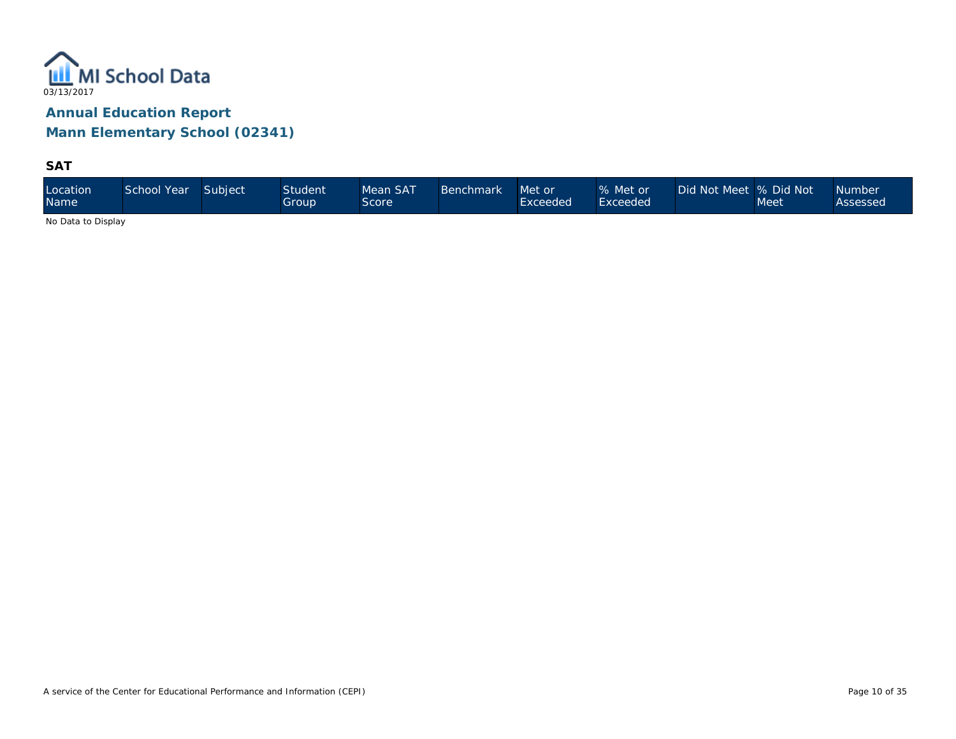

**SAT**

| Location<br><b>Name</b> | School Year | Subject | <b>Student</b><br>Group | Mean SAT<br>Score | <b>Benchmark</b> | Met or<br>Exceeded | % Met or<br>Exceeded | Did Not Meet % Did Not | Meet | Number<br>Assessed |
|-------------------------|-------------|---------|-------------------------|-------------------|------------------|--------------------|----------------------|------------------------|------|--------------------|
|-------------------------|-------------|---------|-------------------------|-------------------|------------------|--------------------|----------------------|------------------------|------|--------------------|

No Data to Display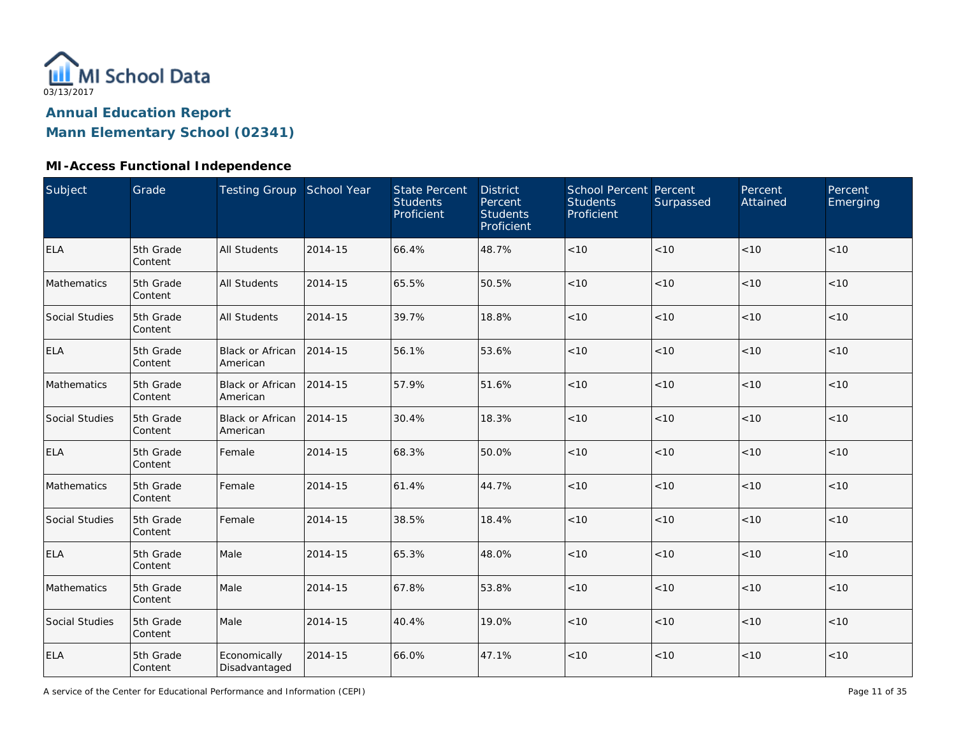

### **MI-Access Functional Independence**

| Subject        | Grade                | Testing Group School Year           |         | <b>State Percent</b><br><b>Students</b><br>Proficient | <b>District</b><br>Percent<br><b>Students</b><br>Proficient | <b>School Percent Percent</b><br><b>Students</b><br>Proficient | Surpassed | Percent<br>Attained | Percent<br>Emerging |
|----------------|----------------------|-------------------------------------|---------|-------------------------------------------------------|-------------------------------------------------------------|----------------------------------------------------------------|-----------|---------------------|---------------------|
| <b>ELA</b>     | 5th Grade<br>Content | <b>All Students</b>                 | 2014-15 | 66.4%                                                 | 48.7%                                                       | < 10                                                           | < 10      | < 10                | < 10                |
| Mathematics    | 5th Grade<br>Content | <b>All Students</b>                 | 2014-15 | 65.5%                                                 | 50.5%                                                       | < 10                                                           | < 10      | < 10                | < 10                |
| Social Studies | 5th Grade<br>Content | <b>All Students</b>                 | 2014-15 | 39.7%                                                 | 18.8%                                                       | < 10                                                           | < 10      | < 10                | < 10                |
| <b>ELA</b>     | 5th Grade<br>Content | <b>Black or African</b><br>American | 2014-15 | 56.1%                                                 | 53.6%                                                       | < 10                                                           | < 10      | < 10                | < 10                |
| Mathematics    | 5th Grade<br>Content | Black or African<br>American        | 2014-15 | 57.9%                                                 | 51.6%                                                       | < 10                                                           | < 10      | < 10                | < 10                |
| Social Studies | 5th Grade<br>Content | <b>Black or African</b><br>American | 2014-15 | 30.4%                                                 | 18.3%                                                       | < 10                                                           | < 10      | < 10                | < 10                |
| <b>ELA</b>     | 5th Grade<br>Content | Female                              | 2014-15 | 68.3%                                                 | 50.0%                                                       | < 10                                                           | < 10      | < 10                | < 10                |
| Mathematics    | 5th Grade<br>Content | Female                              | 2014-15 | 61.4%                                                 | 44.7%                                                       | < 10                                                           | < 10      | < 10                | < 10                |
| Social Studies | 5th Grade<br>Content | Female                              | 2014-15 | 38.5%                                                 | 18.4%                                                       | $<10$                                                          | $<10$     | < 10                | < 10                |
| <b>ELA</b>     | 5th Grade<br>Content | Male                                | 2014-15 | 65.3%                                                 | 48.0%                                                       | $<10$                                                          | < 10      | < 10                | < 10                |
| Mathematics    | 5th Grade<br>Content | Male                                | 2014-15 | 67.8%                                                 | 53.8%                                                       | $<10$                                                          | $<10$     | < 10                | < 10                |
| Social Studies | 5th Grade<br>Content | Male                                | 2014-15 | 40.4%                                                 | 19.0%                                                       | < 10                                                           | < 10      | < 10                | < 10                |
| <b>ELA</b>     | 5th Grade<br>Content | Economically<br>Disadvantaged       | 2014-15 | 66.0%                                                 | 47.1%                                                       | < 10                                                           | < 10      | < 10                | < 10                |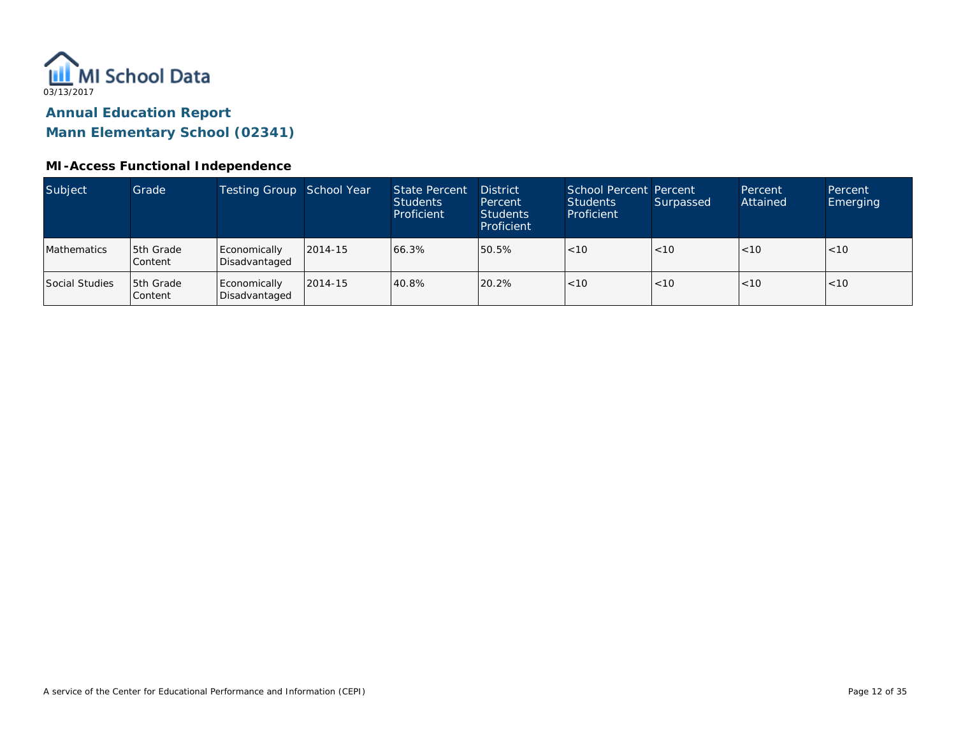

#### **MI-Access Functional Independence**

| Subject        | Grade                | Testing Group School Year     |         | <b>State Percent</b><br><b>Students</b><br>Proficient | <b>District</b><br>Percent<br><b>Students</b><br>Proficient | School Percent Percent<br>Students<br>Proficient | Surpassed | Percent<br>Attained | Percent<br><b>Emerging</b> |
|----------------|----------------------|-------------------------------|---------|-------------------------------------------------------|-------------------------------------------------------------|--------------------------------------------------|-----------|---------------------|----------------------------|
| Mathematics    | 5th Grade<br>Content | Economically<br>Disadvantaged | 2014-15 | 66.3%                                                 | 50.5%                                                       | < 10                                             | < 10      | < 10                | < 10                       |
| Social Studies | 5th Grade<br>Content | Economically<br>Disadvantaged | 2014-15 | 40.8%                                                 | 20.2%                                                       | < 10                                             | < 10      | < 10                | < 10                       |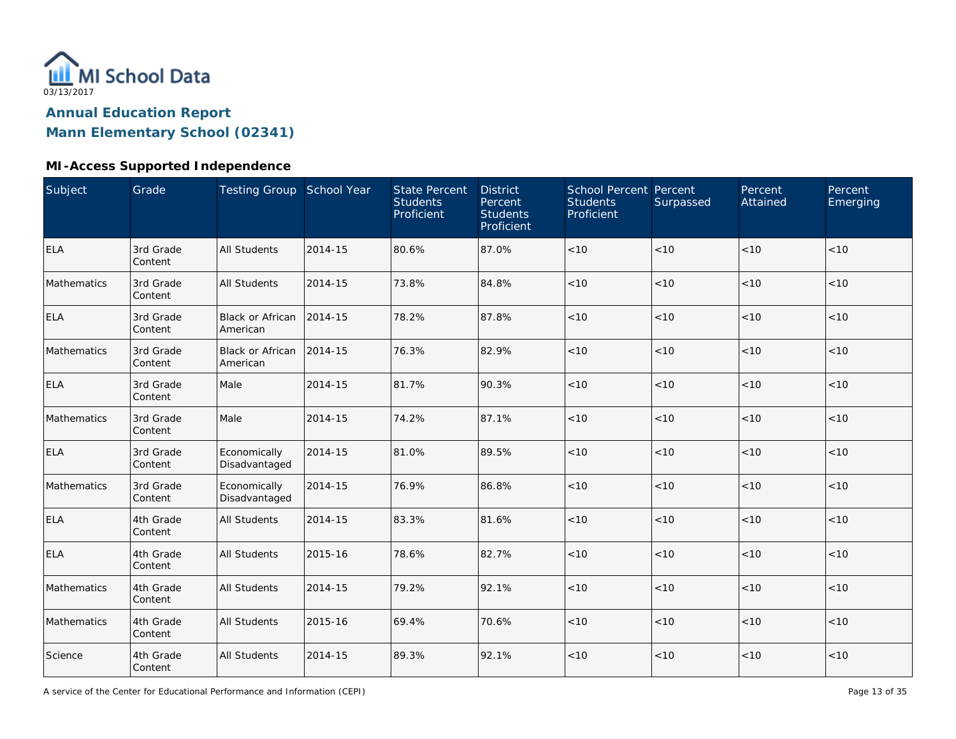

# **Annual Education Report**

# **Mann Elementary School (02341)**

### **MI-Access Supported Independence**

| Subject     | Grade                | Testing Group School Year           |         | <b>State Percent</b><br><b>Students</b><br>Proficient | <b>District</b><br>Percent<br><b>Students</b><br>Proficient | School Percent Percent<br><b>Students</b><br>Proficient | Surpassed | Percent<br>Attained | Percent<br>Emerging |
|-------------|----------------------|-------------------------------------|---------|-------------------------------------------------------|-------------------------------------------------------------|---------------------------------------------------------|-----------|---------------------|---------------------|
| <b>ELA</b>  | 3rd Grade<br>Content | <b>All Students</b>                 | 2014-15 | 80.6%                                                 | 87.0%                                                       | < 10                                                    | < 10      | < 10                | < 10                |
| Mathematics | 3rd Grade<br>Content | <b>All Students</b>                 | 2014-15 | 73.8%                                                 | 84.8%                                                       | < 10                                                    | < 10      | < 10                | < 10                |
| <b>ELA</b>  | 3rd Grade<br>Content | <b>Black or African</b><br>American | 2014-15 | 78.2%                                                 | 87.8%                                                       | < 10                                                    | < 10      | < 10                | < 10                |
| Mathematics | 3rd Grade<br>Content | Black or African<br>American        | 2014-15 | 76.3%                                                 | 82.9%                                                       | < 10                                                    | < 10      | < 10                | < 10                |
| <b>ELA</b>  | 3rd Grade<br>Content | Male                                | 2014-15 | 81.7%                                                 | 90.3%                                                       | < 10                                                    | < 10      | < 10                | < 10                |
| Mathematics | 3rd Grade<br>Content | Male                                | 2014-15 | 74.2%                                                 | 87.1%                                                       | < 10                                                    | < 10      | < 10                | < 10                |
| <b>ELA</b>  | 3rd Grade<br>Content | Economically<br>Disadvantaged       | 2014-15 | 81.0%                                                 | 89.5%                                                       | < 10                                                    | < 10      | < 10                | < 10                |
| Mathematics | 3rd Grade<br>Content | Economically<br>Disadvantaged       | 2014-15 | 76.9%                                                 | 86.8%                                                       | < 10                                                    | < 10      | < 10                | < 10                |
| <b>ELA</b>  | 4th Grade<br>Content | <b>All Students</b>                 | 2014-15 | 83.3%                                                 | 81.6%                                                       | $<10$                                                   | < 10      | < 10                | < 10                |
| <b>ELA</b>  | 4th Grade<br>Content | <b>All Students</b>                 | 2015-16 | 78.6%                                                 | 82.7%                                                       | $<10$                                                   | < 10      | < 10                | < 10                |
| Mathematics | 4th Grade<br>Content | <b>All Students</b>                 | 2014-15 | 79.2%                                                 | 92.1%                                                       | $<10$                                                   | < 10      | < 10                | < 10                |
| Mathematics | 4th Grade<br>Content | <b>All Students</b>                 | 2015-16 | 69.4%                                                 | 70.6%                                                       | $<10$                                                   | < 10      | < 10                | < 10                |
| Science     | 4th Grade<br>Content | <b>All Students</b>                 | 2014-15 | 89.3%                                                 | 92.1%                                                       | < 10                                                    | < 10      | < 10                | < 10                |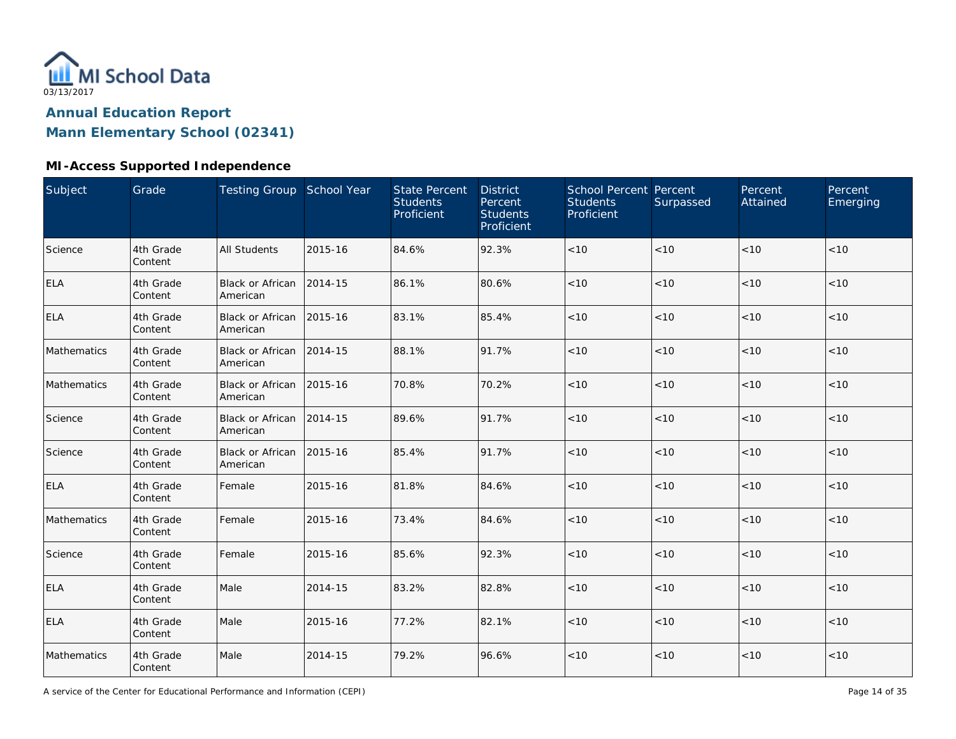

### **MI-Access Supported Independence**

| <b>Subject</b> | Grade                | Testing Group School Year           |         | <b>State Percent</b><br><b>Students</b><br>Proficient | <b>District</b><br>Percent<br><b>Students</b><br>Proficient | School Percent Percent<br><b>Students</b><br>Proficient | Surpassed | Percent<br>Attained | Percent<br>Emerging |
|----------------|----------------------|-------------------------------------|---------|-------------------------------------------------------|-------------------------------------------------------------|---------------------------------------------------------|-----------|---------------------|---------------------|
| Science        | 4th Grade<br>Content | <b>All Students</b>                 | 2015-16 | 84.6%                                                 | 92.3%                                                       | $<10$                                                   | < 10      | < 10                | < 10                |
| <b>ELA</b>     | 4th Grade<br>Content | <b>Black or African</b><br>American | 2014-15 | 86.1%                                                 | 80.6%                                                       | $<10$                                                   | < 10      | < 10                | < 10                |
| <b>ELA</b>     | 4th Grade<br>Content | <b>Black or African</b><br>American | 2015-16 | 83.1%                                                 | 85.4%                                                       | $<10$                                                   | < 10      | < 10                | < 10                |
| Mathematics    | 4th Grade<br>Content | <b>Black or African</b><br>American | 2014-15 | 88.1%                                                 | 91.7%                                                       | $<10$                                                   | < 10      | < 10                | < 10                |
| Mathematics    | 4th Grade<br>Content | <b>Black or African</b><br>American | 2015-16 | 70.8%                                                 | 70.2%                                                       | < 10                                                    | < 10      | < 10                | < 10                |
| Science        | 4th Grade<br>Content | <b>Black or African</b><br>American | 2014-15 | 89.6%                                                 | 91.7%                                                       | < 10                                                    | < 10      | < 10                | < 10                |
| Science        | 4th Grade<br>Content | <b>Black or African</b><br>American | 2015-16 | 85.4%                                                 | 91.7%                                                       | < 10                                                    | < 10      | < 10                | < 10                |
| <b>ELA</b>     | 4th Grade<br>Content | Female                              | 2015-16 | 81.8%                                                 | 84.6%                                                       | $<10$                                                   | < 10      | < 10                | < 10                |
| Mathematics    | 4th Grade<br>Content | Female                              | 2015-16 | 73.4%                                                 | 84.6%                                                       | $<10$                                                   | < 10      | < 10                | < 10                |
| Science        | 4th Grade<br>Content | Female                              | 2015-16 | 85.6%                                                 | 92.3%                                                       | $<10$                                                   | < 10      | < 10                | < 10                |
| <b>ELA</b>     | 4th Grade<br>Content | Male                                | 2014-15 | 83.2%                                                 | 82.8%                                                       | $<10$                                                   | < 10      | < 10                | < 10                |
| <b>ELA</b>     | 4th Grade<br>Content | Male                                | 2015-16 | 77.2%                                                 | 82.1%                                                       | < 10                                                    | < 10      | < 10                | < 10                |
| Mathematics    | 4th Grade<br>Content | Male                                | 2014-15 | 79.2%                                                 | 96.6%                                                       | $<10$                                                   | $<10$     | < 10                | < 10                |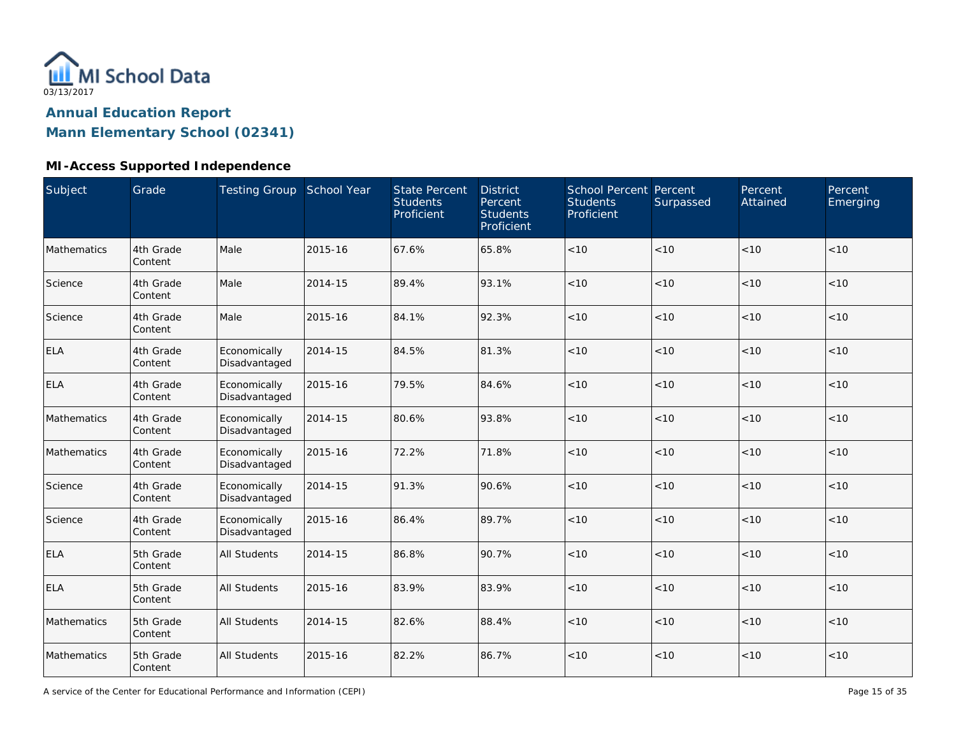

# **Annual Education Report**

**Mann Elementary School (02341)**

### **MI-Access Supported Independence**

| Subject     | Grade                | Testing Group School Year     |         | <b>State Percent</b><br><b>Students</b><br>Proficient | <b>District</b><br>Percent<br><b>Students</b><br>Proficient | School Percent Percent<br><b>Students</b><br>Proficient | Surpassed | Percent<br>Attained | Percent<br>Emerging |
|-------------|----------------------|-------------------------------|---------|-------------------------------------------------------|-------------------------------------------------------------|---------------------------------------------------------|-----------|---------------------|---------------------|
| Mathematics | 4th Grade<br>Content | Male                          | 2015-16 | 67.6%                                                 | 65.8%                                                       | < 10                                                    | < 10      | < 10                | < 10                |
| Science     | 4th Grade<br>Content | Male                          | 2014-15 | 89.4%                                                 | 93.1%                                                       | $<10$                                                   | < 10      | < 10                | $<10$               |
| Science     | 4th Grade<br>Content | Male                          | 2015-16 | 84.1%                                                 | 92.3%                                                       | $<10$                                                   | < 10      | < 10                | $<10$               |
| <b>ELA</b>  | 4th Grade<br>Content | Economically<br>Disadvantaged | 2014-15 | 84.5%                                                 | 81.3%                                                       | < 10                                                    | < 10      | < 10                | < 10                |
| <b>ELA</b>  | 4th Grade<br>Content | Economically<br>Disadvantaged | 2015-16 | 79.5%                                                 | 84.6%                                                       | < 10                                                    | < 10      | < 10                | < 10                |
| Mathematics | 4th Grade<br>Content | Economically<br>Disadvantaged | 2014-15 | 80.6%                                                 | 93.8%                                                       | < 10                                                    | < 10      | < 10                | < 10                |
| Mathematics | 4th Grade<br>Content | Economically<br>Disadvantaged | 2015-16 | 72.2%                                                 | 71.8%                                                       | < 10                                                    | < 10      | < 10                | < 10                |
| Science     | 4th Grade<br>Content | Economically<br>Disadvantaged | 2014-15 | 91.3%                                                 | 90.6%                                                       | < 10                                                    | < 10      | < 10                | < 10                |
| Science     | 4th Grade<br>Content | Economically<br>Disadvantaged | 2015-16 | 86.4%                                                 | 89.7%                                                       | $<10$                                                   | < 10      | < 10                | $<10$               |
| <b>ELA</b>  | 5th Grade<br>Content | <b>All Students</b>           | 2014-15 | 86.8%                                                 | 90.7%                                                       | < 10                                                    | < 10      | < 10                | < 10                |
| <b>ELA</b>  | 5th Grade<br>Content | All Students                  | 2015-16 | 83.9%                                                 | 83.9%                                                       | < 10                                                    | < 10      | < 10                | < 10                |
| Mathematics | 5th Grade<br>Content | <b>All Students</b>           | 2014-15 | 82.6%                                                 | 88.4%                                                       | < 10                                                    | < 10      | < 10                | < 10                |
| Mathematics | 5th Grade<br>Content | <b>All Students</b>           | 2015-16 | 82.2%                                                 | 86.7%                                                       | $<10$                                                   | < 10      | < 10                | $<10$               |

A service of the Center for Educational Performance and Information (CEPI)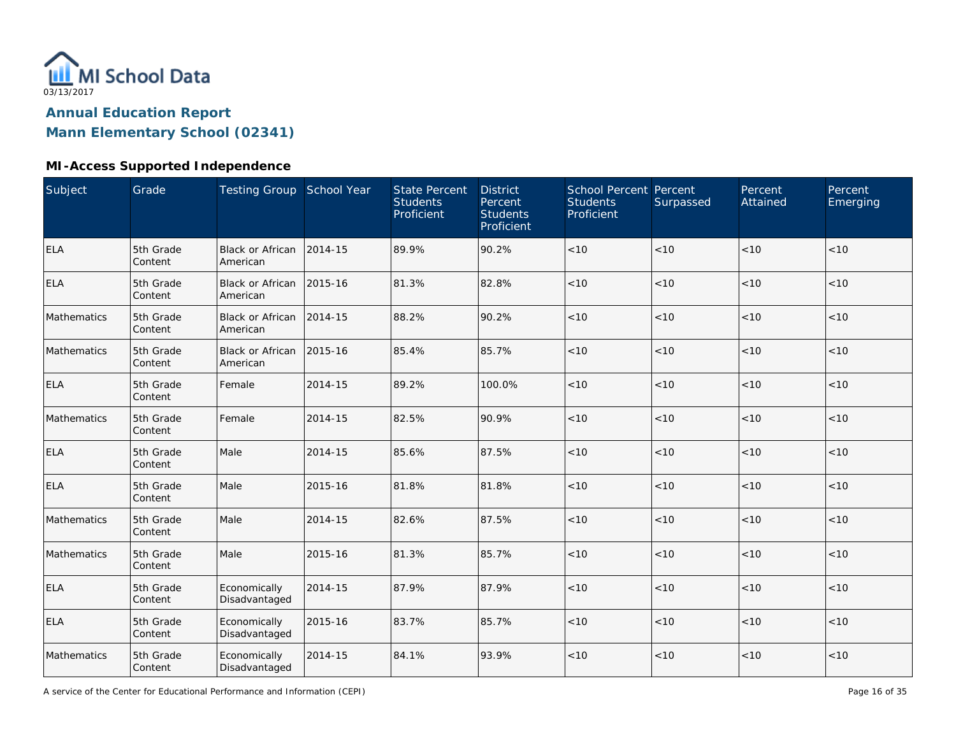

### **MI-Access Supported Independence**

| <b>Subject</b> | Grade                | Testing Group School Year           |         | <b>State Percent</b><br><b>Students</b><br>Proficient | <b>District</b><br>Percent<br><b>Students</b><br>Proficient | School Percent Percent<br><b>Students</b><br>Proficient | Surpassed | Percent<br>Attained | Percent<br>Emerging |
|----------------|----------------------|-------------------------------------|---------|-------------------------------------------------------|-------------------------------------------------------------|---------------------------------------------------------|-----------|---------------------|---------------------|
| ELA            | 5th Grade<br>Content | Black or African<br>American        | 2014-15 | 89.9%                                                 | 90.2%                                                       | $<10$                                                   | < 10      | < 10                | < 10                |
| <b>ELA</b>     | 5th Grade<br>Content | <b>Black or African</b><br>American | 2015-16 | 81.3%                                                 | 82.8%                                                       | < 10                                                    | < 10      | < 10                | < 10                |
| Mathematics    | 5th Grade<br>Content | <b>Black or African</b><br>American | 2014-15 | 88.2%                                                 | 90.2%                                                       | $<10$                                                   | < 10      | < 10                | < 10                |
| Mathematics    | 5th Grade<br>Content | Black or African<br>American        | 2015-16 | 85.4%                                                 | 85.7%                                                       | $<10$                                                   | < 10      | < 10                | < 10                |
| <b>ELA</b>     | 5th Grade<br>Content | Female                              | 2014-15 | 89.2%                                                 | 100.0%                                                      | < 10                                                    | < 10      | < 10                | < 10                |
| Mathematics    | 5th Grade<br>Content | Female                              | 2014-15 | 82.5%                                                 | 90.9%                                                       | < 10                                                    | < 10      | < 10                | < 10                |
| <b>ELA</b>     | 5th Grade<br>Content | Male                                | 2014-15 | 85.6%                                                 | 87.5%                                                       | < 10                                                    | < 10      | < 10                | < 10                |
| <b>ELA</b>     | 5th Grade<br>Content | Male                                | 2015-16 | 81.8%                                                 | 81.8%                                                       | $<10$                                                   | < 10      | < 10                | < 10                |
| Mathematics    | 5th Grade<br>Content | Male                                | 2014-15 | 82.6%                                                 | 87.5%                                                       | < 10                                                    | < 10      | < 10                | < 10                |
| Mathematics    | 5th Grade<br>Content | Male                                | 2015-16 | 81.3%                                                 | 85.7%                                                       | $<10$                                                   | < 10      | < 10                | < 10                |
| <b>ELA</b>     | 5th Grade<br>Content | Economically<br>Disadvantaged       | 2014-15 | 87.9%                                                 | 87.9%                                                       | < 10                                                    | < 10      | < 10                | < 10                |
| ELA            | 5th Grade<br>Content | Economically<br>Disadvantaged       | 2015-16 | 83.7%                                                 | 85.7%                                                       | < 10                                                    | < 10      | < 10                | < 10                |
| Mathematics    | 5th Grade<br>Content | Economically<br>Disadvantaged       | 2014-15 | 84.1%                                                 | 93.9%                                                       | $<10$                                                   | $<10$     | < 10                | < 10                |

A service of the Center for Educational Performance and Information (CEPI)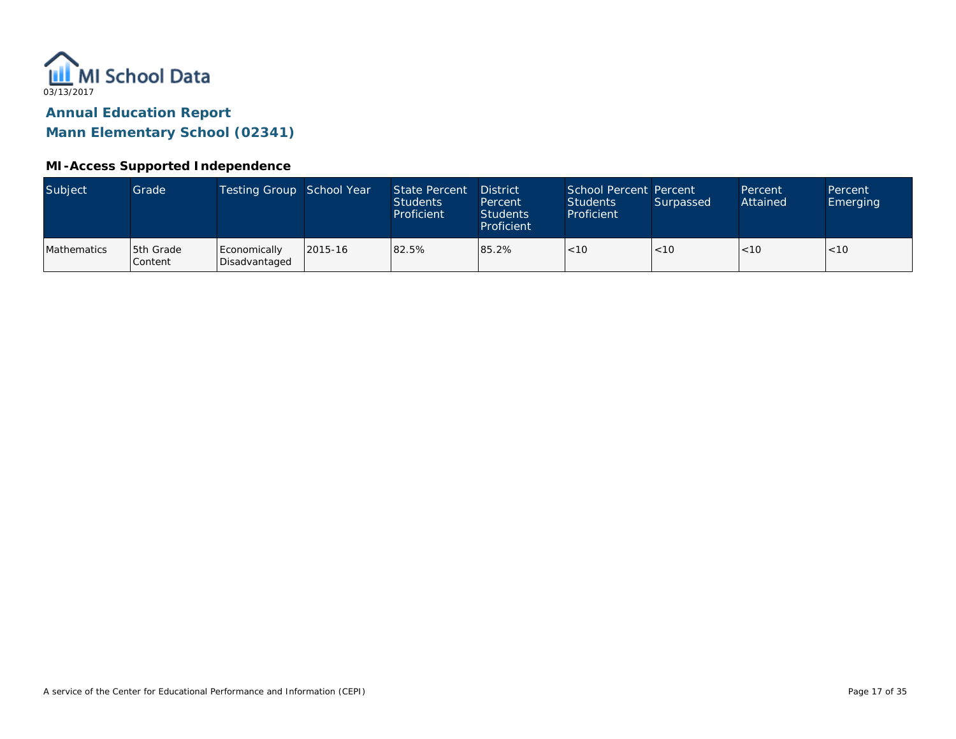

#### **MI-Access Supported Independence**

| Subject     | Grade                | Testing Group School Year     |         | State Percent<br><b>Students</b><br>Proficient | <b>District</b><br>Percent<br><b>Students</b><br>Proficient | School Percent Percent<br><b>Students</b><br>Proficient | Surpassed | Percent<br>Attained | Percent<br><b>Emerging</b> |
|-------------|----------------------|-------------------------------|---------|------------------------------------------------|-------------------------------------------------------------|---------------------------------------------------------|-----------|---------------------|----------------------------|
| Mathematics | 5th Grade<br>Content | Economically<br>Disadvantaged | 2015-16 | 82.5%                                          | 85.2%                                                       | < 10                                                    | <10       | < 10                | < 10                       |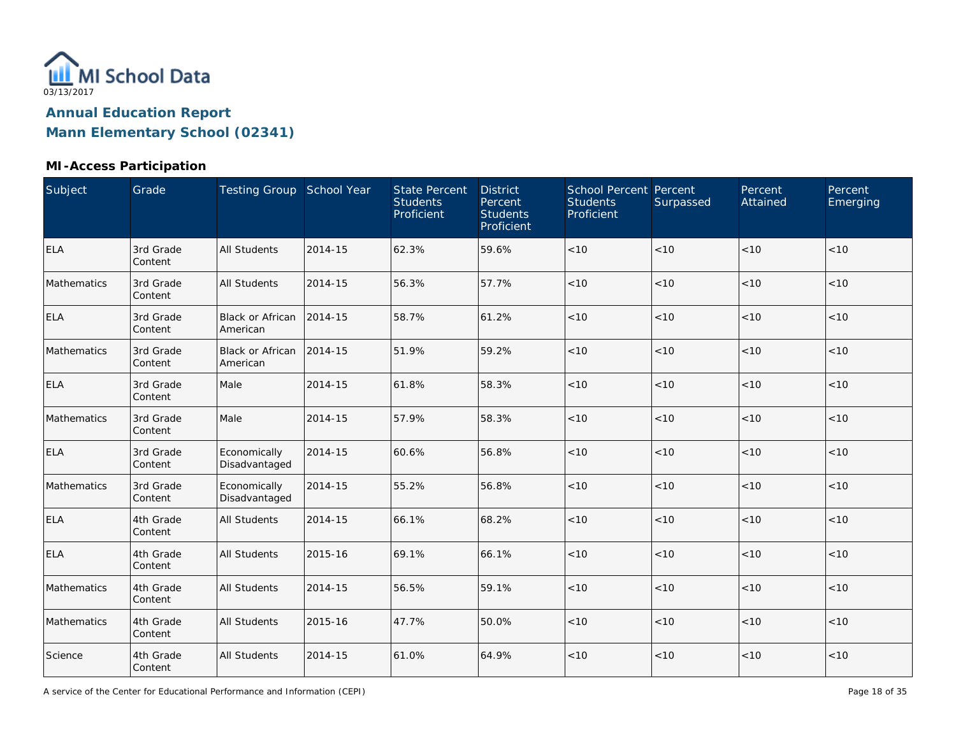

#### **MI-Access Participation**

| Subject     | Grade                | Testing Group School Year           |         | <b>State Percent</b><br><b>Students</b><br>Proficient | <b>District</b><br>Percent<br><b>Students</b><br>Proficient | School Percent Percent<br><b>Students</b><br>Proficient | Surpassed | Percent<br>Attained | Percent<br>Emerging |
|-------------|----------------------|-------------------------------------|---------|-------------------------------------------------------|-------------------------------------------------------------|---------------------------------------------------------|-----------|---------------------|---------------------|
| <b>ELA</b>  | 3rd Grade<br>Content | <b>All Students</b>                 | 2014-15 | 62.3%                                                 | 59.6%                                                       | $<10$                                                   | < 10      | < 10                | < 10                |
| Mathematics | 3rd Grade<br>Content | <b>All Students</b>                 | 2014-15 | 56.3%                                                 | 57.7%                                                       | $<10$                                                   | < 10      | < 10                | < 10                |
| <b>ELA</b>  | 3rd Grade<br>Content | Black or African<br>American        | 2014-15 | 58.7%                                                 | 61.2%                                                       | $<10$                                                   | $<10$     | < 10                | < 10                |
| Mathematics | 3rd Grade<br>Content | <b>Black or African</b><br>American | 2014-15 | 51.9%                                                 | 59.2%                                                       | < 10                                                    | < 10      | < 10                | < 10                |
| <b>ELA</b>  | 3rd Grade<br>Content | Male                                | 2014-15 | 61.8%                                                 | 58.3%                                                       | < 10                                                    | < 10      | < 10                | < 10                |
| Mathematics | 3rd Grade<br>Content | Male                                | 2014-15 | 57.9%                                                 | 58.3%                                                       | < 10                                                    | < 10      | < 10                | < 10                |
| <b>ELA</b>  | 3rd Grade<br>Content | Economically<br>Disadvantaged       | 2014-15 | 60.6%                                                 | 56.8%                                                       | $<10$                                                   | < 10      | < 10                | < 10                |
| Mathematics | 3rd Grade<br>Content | Economically<br>Disadvantaged       | 2014-15 | 55.2%                                                 | 56.8%                                                       | < 10                                                    | < 10      | < 10                | < 10                |
| <b>ELA</b>  | 4th Grade<br>Content | <b>All Students</b>                 | 2014-15 | 66.1%                                                 | 68.2%                                                       | $<10$                                                   | $<10$     | < 10                | $<10$               |
| <b>ELA</b>  | 4th Grade<br>Content | <b>All Students</b>                 | 2015-16 | 69.1%                                                 | 66.1%                                                       | < 10                                                    | < 10      | < 10                | < 10                |
| Mathematics | 4th Grade<br>Content | <b>All Students</b>                 | 2014-15 | 56.5%                                                 | 59.1%                                                       | < 10                                                    | < 10      | < 10                | < 10                |
| Mathematics | 4th Grade<br>Content | <b>All Students</b>                 | 2015-16 | 47.7%                                                 | 50.0%                                                       | < 10                                                    | < 10      | < 10                | < 10                |
| Science     | 4th Grade<br>Content | <b>All Students</b>                 | 2014-15 | 61.0%                                                 | 64.9%                                                       | $<10$                                                   | < 10      | < 10                | < 10                |

A service of the Center for Educational Performance and Information (CEPI)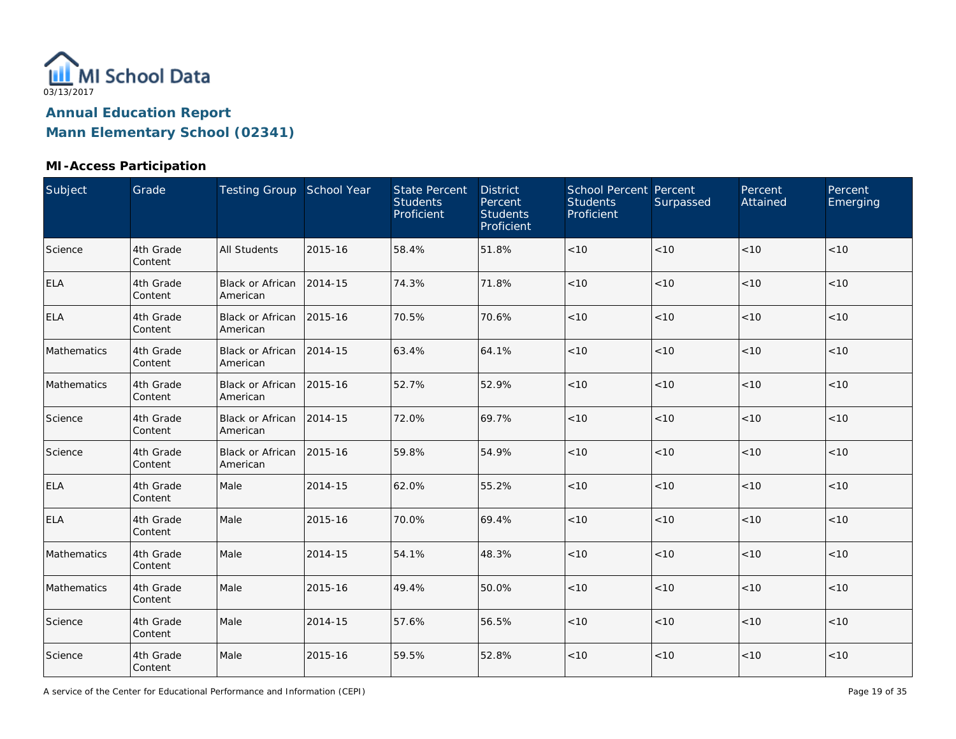

### **MI-Access Participation**

| Subject     | Grade                | Testing Group School Year            |         | <b>State Percent</b><br><b>Students</b><br>Proficient | <b>District</b><br>Percent<br><b>Students</b><br>Proficient | School Percent Percent<br><b>Students</b><br>Proficient | Surpassed | Percent<br>Attained | Percent<br>Emerging |
|-------------|----------------------|--------------------------------------|---------|-------------------------------------------------------|-------------------------------------------------------------|---------------------------------------------------------|-----------|---------------------|---------------------|
| Science     | 4th Grade<br>Content | <b>All Students</b>                  | 2015-16 | 58.4%                                                 | 51.8%                                                       | $<10$                                                   | < 10      | < 10                | < 10                |
| ELA         | 4th Grade<br>Content | Black or African<br>American         | 2014-15 | 74.3%                                                 | 71.8%                                                       | $<10$                                                   | < 10      | < 10                | < 10                |
| <b>ELA</b>  | 4th Grade<br>Content | Black or African 2015-16<br>American |         | 70.5%                                                 | 70.6%                                                       | $<10$                                                   | < 10      | < 10                | < 10                |
| Mathematics | 4th Grade<br>Content | Black or African 2014-15<br>American |         | 63.4%                                                 | 64.1%                                                       | < 10                                                    | < 10      | < 10                | < 10                |
| Mathematics | 4th Grade<br>Content | Black or African<br>American         | 2015-16 | 52.7%                                                 | 52.9%                                                       | $<10$                                                   | $<10$     | < 10                | $<10$               |
| Science     | 4th Grade<br>Content | Black or African<br>American         | 2014-15 | 72.0%                                                 | 69.7%                                                       | $<10$                                                   | < 10      | < 10                | < 10                |
| Science     | 4th Grade<br>Content | <b>Black or African</b><br>American  | 2015-16 | 59.8%                                                 | 54.9%                                                       | $<10$                                                   | <10       | < 10                | < 10                |
| <b>ELA</b>  | 4th Grade<br>Content | Male                                 | 2014-15 | 62.0%                                                 | 55.2%                                                       | < 10                                                    | < 10      | < 10                | < 10                |
| <b>ELA</b>  | 4th Grade<br>Content | Male                                 | 2015-16 | 70.0%                                                 | 69.4%                                                       | $<10$                                                   | < 10      | < 10                | < 10                |
| Mathematics | 4th Grade<br>Content | Male                                 | 2014-15 | 54.1%                                                 | 48.3%                                                       | $<10$                                                   | < 10      | < 10                | < 10                |
| Mathematics | 4th Grade<br>Content | Male                                 | 2015-16 | 49.4%                                                 | 50.0%                                                       | $<10$                                                   | < 10      | < 10                | < 10                |
| Science     | 4th Grade<br>Content | Male                                 | 2014-15 | 57.6%                                                 | 56.5%                                                       | $<10$                                                   | < 10      | < 10                | < 10                |
| Science     | 4th Grade<br>Content | Male                                 | 2015-16 | 59.5%                                                 | 52.8%                                                       | < 10                                                    | < 10      | < 10                | < 10                |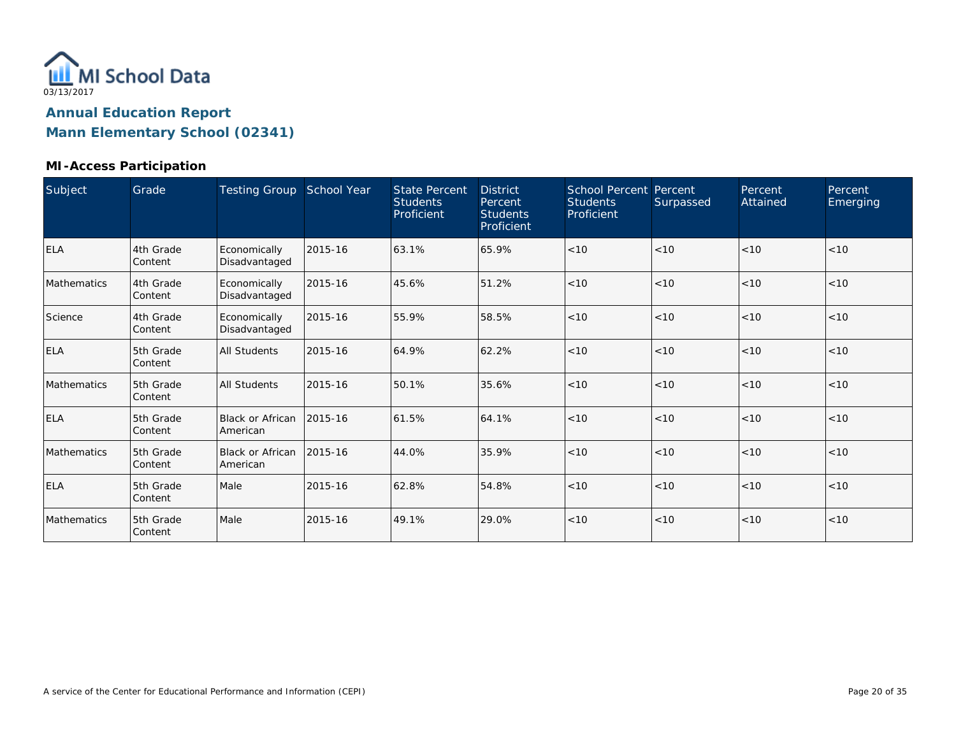

#### **MI-Access Participation**

| Subject     | Grade                | Testing Group School Year     |         | <b>State Percent</b><br><b>Students</b><br>Proficient | <b>District</b><br>Percent<br><b>Students</b><br>Proficient | <b>School Percent Percent</b><br><b>Students</b><br>Proficient | Surpassed | Percent<br>Attained | Percent<br>Emerging |
|-------------|----------------------|-------------------------------|---------|-------------------------------------------------------|-------------------------------------------------------------|----------------------------------------------------------------|-----------|---------------------|---------------------|
| <b>ELA</b>  | 4th Grade<br>Content | Economically<br>Disadvantaged | 2015-16 | 63.1%                                                 | 65.9%                                                       | < 10                                                           | < 10      | < 10                | < 10                |
| Mathematics | 4th Grade<br>Content | Economically<br>Disadvantaged | 2015-16 | 45.6%                                                 | 51.2%                                                       | < 10                                                           | < 10      | < 10                | < 10                |
| Science     | 4th Grade<br>Content | Economically<br>Disadvantaged | 2015-16 | 55.9%                                                 | 58.5%                                                       | < 10                                                           | < 10      | < 10                | < 10                |
| <b>ELA</b>  | 5th Grade<br>Content | <b>All Students</b>           | 2015-16 | 64.9%                                                 | 62.2%                                                       | < 10                                                           | < 10      | < 10                | < 10                |
| Mathematics | 5th Grade<br>Content | <b>All Students</b>           | 2015-16 | 50.1%                                                 | 35.6%                                                       | < 10                                                           | < 10      | < 10                | < 10                |
| <b>ELA</b>  | 5th Grade<br>Content | Black or African<br>American  | 2015-16 | 61.5%                                                 | 64.1%                                                       | < 10                                                           | < 10      | < 10                | < 10                |
| Mathematics | 5th Grade<br>Content | Black or African<br>American  | 2015-16 | 44.0%                                                 | 35.9%                                                       | < 10                                                           | < 10      | < 10                | < 10                |
| <b>ELA</b>  | 5th Grade<br>Content | Male                          | 2015-16 | 62.8%                                                 | 54.8%                                                       | < 10                                                           | < 10      | < 10                | < 10                |
| Mathematics | 5th Grade<br>Content | Male                          | 2015-16 | 49.1%                                                 | 29.0%                                                       | < 10                                                           | < 10      | < 10                | < 10                |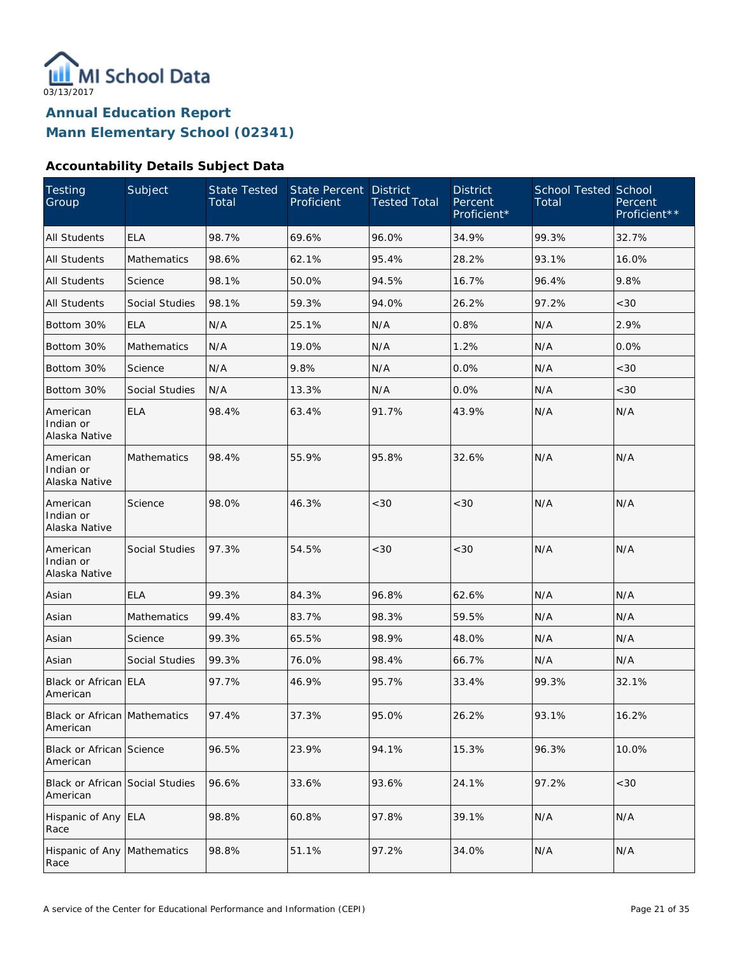

#### **Accountability Details Subject Data**

| Testing<br>Group                            | Subject               | State Tested<br>Total | State Percent<br>Proficient | <b>District</b><br><b>Tested Total</b> | <b>District</b><br>Percent<br>Proficient* | <b>School Tested School</b><br>Total | Percent<br>Proficient** |
|---------------------------------------------|-----------------------|-----------------------|-----------------------------|----------------------------------------|-------------------------------------------|--------------------------------------|-------------------------|
| <b>All Students</b>                         | <b>ELA</b>            | 98.7%                 | 69.6%                       | 96.0%                                  | 34.9%                                     | 99.3%                                | 32.7%                   |
| <b>All Students</b>                         | Mathematics           | 98.6%                 | 62.1%                       | 95.4%                                  | 28.2%                                     | 93.1%                                | 16.0%                   |
| <b>All Students</b>                         | Science               | 98.1%                 | 50.0%                       | 94.5%                                  | 16.7%                                     | 96.4%                                | 9.8%                    |
| All Students                                | <b>Social Studies</b> | 98.1%                 | 59.3%                       | 94.0%                                  | 26.2%                                     | 97.2%                                | <30                     |
| Bottom 30%                                  | <b>ELA</b>            | N/A                   | 25.1%                       | N/A                                    | 0.8%                                      | N/A                                  | 2.9%                    |
| Bottom 30%                                  | Mathematics           | N/A                   | 19.0%                       | N/A                                    | 1.2%                                      | N/A                                  | 0.0%                    |
| Bottom 30%                                  | Science               | N/A                   | 9.8%                        | N/A                                    | 0.0%                                      | N/A                                  | <30                     |
| Bottom 30%                                  | Social Studies        | N/A                   | 13.3%                       | N/A                                    | 0.0%                                      | N/A                                  | <30                     |
| American<br>Indian or<br>Alaska Native      | <b>ELA</b>            | 98.4%                 | 63.4%                       | 91.7%                                  | 43.9%                                     | N/A                                  | N/A                     |
| American<br>Indian or<br>Alaska Native      | <b>Mathematics</b>    | 98.4%                 | 55.9%                       | 95.8%                                  | 32.6%                                     | N/A                                  | N/A                     |
| American<br>Indian or<br>Alaska Native      | Science               | 98.0%                 | 46.3%                       | < 30                                   | <30                                       | N/A                                  | N/A                     |
| American<br>Indian or<br>Alaska Native      | <b>Social Studies</b> | 97.3%                 | 54.5%                       | <30                                    | <30                                       | N/A                                  | N/A                     |
| Asian                                       | <b>ELA</b>            | 99.3%                 | 84.3%                       | 96.8%                                  | 62.6%                                     | N/A                                  | N/A                     |
| Asian                                       | <b>Mathematics</b>    | 99.4%                 | 83.7%                       | 98.3%                                  | 59.5%                                     | N/A                                  | N/A                     |
| Asian                                       | Science               | 99.3%                 | 65.5%                       | 98.9%                                  | 48.0%                                     | N/A                                  | N/A                     |
| Asian                                       | <b>Social Studies</b> | 99.3%                 | 76.0%                       | 98.4%                                  | 66.7%                                     | N/A                                  | N/A                     |
| Black or African ELA<br>American            |                       | 97.7%                 | 46.9%                       | 95.7%                                  | 33.4%                                     | 99.3%                                | 32.1%                   |
| Black or African Mathematics<br>American    |                       | 97.4%                 | 37.3%                       | 95.0%                                  | 26.2%                                     | 93.1%                                | 16.2%                   |
| <b>Black or African Science</b><br>American |                       | 96.5%                 | 23.9%                       | 94.1%                                  | 15.3%                                     | 96.3%                                | 10.0%                   |
| Black or African Social Studies<br>American |                       | 96.6%                 | 33.6%                       | 93.6%                                  | 24.1%                                     | 97.2%                                | <30                     |
| Hispanic of Any ELA<br>Race                 |                       | 98.8%                 | 60.8%                       | 97.8%                                  | 39.1%                                     | N/A                                  | N/A                     |
| Hispanic of Any Mathematics<br>Race         |                       | 98.8%                 | 51.1%                       | 97.2%                                  | 34.0%                                     | N/A                                  | N/A                     |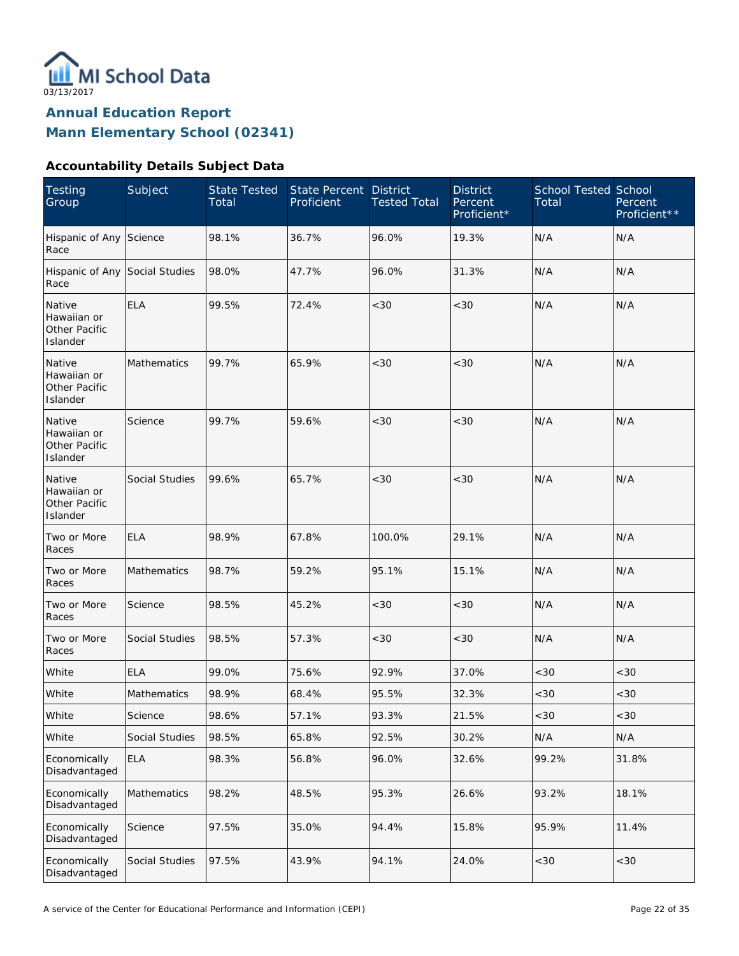

#### **Accountability Details Subject Data**

| <b>Testing</b><br>Group                            | Subject        | <b>State Tested</b><br>Total | <b>State Percent</b><br>Proficient | <b>District</b><br><b>Tested Total</b> | <b>District</b><br>Percent<br>Proficient* | <b>School Tested School</b><br>Total | Percent<br>Proficient** |
|----------------------------------------------------|----------------|------------------------------|------------------------------------|----------------------------------------|-------------------------------------------|--------------------------------------|-------------------------|
| Hispanic of Any Science<br>Race                    |                | 98.1%                        | 36.7%                              | 96.0%                                  | 19.3%                                     | N/A                                  | N/A                     |
| Hispanic of Any Social Studies<br>Race             |                | 98.0%                        | 47.7%                              | 96.0%                                  | 31.3%                                     | N/A                                  | N/A                     |
| Native<br>Hawaiian or<br>Other Pacific<br>Islander | <b>ELA</b>     | 99.5%                        | 72.4%                              | <30                                    | < 30                                      | N/A                                  | N/A                     |
| Native<br>Hawaiian or<br>Other Pacific<br>Islander | Mathematics    | 99.7%                        | 65.9%                              | <30                                    | < 30                                      | N/A                                  | N/A                     |
| Native<br>Hawaiian or<br>Other Pacific<br>Islander | Science        | 99.7%                        | 59.6%                              | <30                                    | < 30                                      | N/A                                  | N/A                     |
| Native<br>Hawaiian or<br>Other Pacific<br>Islander | Social Studies | 99.6%                        | 65.7%                              | <30                                    | < 30                                      | N/A                                  | N/A                     |
| Two or More<br>Races                               | <b>ELA</b>     | 98.9%                        | 67.8%                              | 100.0%                                 | 29.1%                                     | N/A                                  | N/A                     |
| Two or More<br>Races                               | Mathematics    | 98.7%                        | 59.2%                              | 95.1%                                  | 15.1%                                     | N/A                                  | N/A                     |
| Two or More<br>Races                               | Science        | 98.5%                        | 45.2%                              | <30                                    | <30                                       | N/A                                  | N/A                     |
| Two or More<br>Races                               | Social Studies | 98.5%                        | 57.3%                              | <30                                    | < 30                                      | N/A                                  | N/A                     |
| White                                              | <b>ELA</b>     | 99.0%                        | 75.6%                              | 92.9%                                  | 37.0%                                     | <30                                  | <30                     |
| White                                              | Mathematics    | 98.9%                        | 68.4%                              | 95.5%                                  | 32.3%                                     | <30                                  | <30                     |
| White                                              | Science        | 98.6%                        | 57.1%                              | 93.3%                                  | 21.5%                                     | <30                                  | < 30                    |
| White                                              | Social Studies | 98.5%                        | 65.8%                              | 92.5%                                  | 30.2%                                     | N/A                                  | N/A                     |
| Economically<br>Disadvantaged                      | <b>ELA</b>     | 98.3%                        | 56.8%                              | 96.0%                                  | 32.6%                                     | 99.2%                                | 31.8%                   |
| Economically<br>Disadvantaged                      | Mathematics    | 98.2%                        | 48.5%                              | 95.3%                                  | 26.6%                                     | 93.2%                                | 18.1%                   |
| Economically<br>Disadvantaged                      | Science        | 97.5%                        | 35.0%                              | 94.4%                                  | 15.8%                                     | 95.9%                                | 11.4%                   |
| Economically<br>Disadvantaged                      | Social Studies | 97.5%                        | 43.9%                              | 94.1%                                  | 24.0%                                     | <30                                  | <30                     |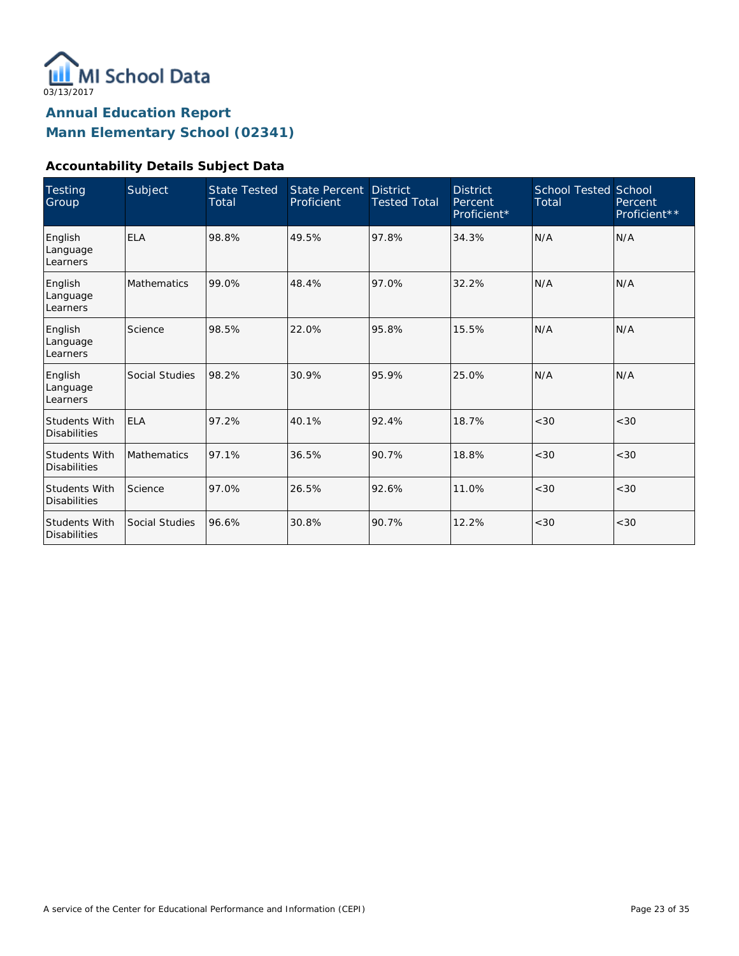

#### **Accountability Details Subject Data**

| <b>Testing</b><br>Group                     | Subject            | <b>State Tested</b><br>Total | <b>State Percent</b><br>Proficient | <b>District</b><br><b>Tested Total</b> | <b>District</b><br>Percent<br>Proficient* | <b>School Tested School</b><br>Total | Percent<br>Proficient** |
|---------------------------------------------|--------------------|------------------------------|------------------------------------|----------------------------------------|-------------------------------------------|--------------------------------------|-------------------------|
| English<br>Language<br>Learners             | <b>ELA</b>         | 98.8%                        | 49.5%                              | 97.8%                                  | 34.3%                                     | N/A                                  | N/A                     |
| English<br>Language<br>Learners             | <b>Mathematics</b> | 99.0%                        | 48.4%                              | 97.0%                                  | 32.2%                                     | N/A                                  | N/A                     |
| English<br>Language<br>Learners             | Science            | 98.5%                        | 22.0%                              | 95.8%                                  | 15.5%                                     | N/A                                  | N/A                     |
| English<br>Language<br>Learners             | Social Studies     | 98.2%                        | 30.9%                              | 95.9%                                  | 25.0%                                     | N/A                                  | N/A                     |
| <b>Students With</b><br><b>Disabilities</b> | <b>ELA</b>         | 97.2%                        | 40.1%                              | 92.4%                                  | 18.7%                                     | < 30                                 | <30                     |
| <b>Students With</b><br><b>Disabilities</b> | Mathematics        | 97.1%                        | 36.5%                              | 90.7%                                  | 18.8%                                     | < 30                                 | < 30                    |
| <b>Students With</b><br><b>Disabilities</b> | Science            | 97.0%                        | 26.5%                              | 92.6%                                  | 11.0%                                     | < 30                                 | <30                     |
| <b>Students With</b><br><b>Disabilities</b> | Social Studies     | 96.6%                        | 30.8%                              | 90.7%                                  | 12.2%                                     | < 30                                 | < 30                    |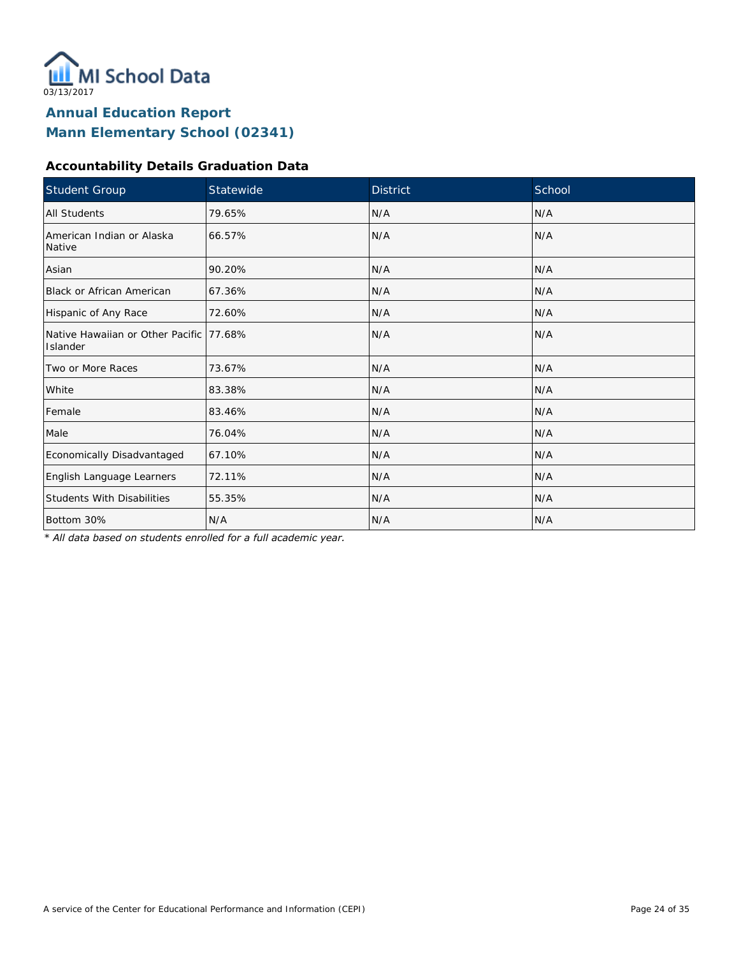

#### **Accountability Details Graduation Data**

| Student Group                                       | Statewide | <b>District</b> | School |
|-----------------------------------------------------|-----------|-----------------|--------|
| All Students                                        | 79.65%    | N/A             | N/A    |
| American Indian or Alaska<br>Native                 | 66.57%    | N/A             | N/A    |
| Asian                                               | 90.20%    | N/A             | N/A    |
| <b>Black or African American</b>                    | 67.36%    | N/A             | N/A    |
| Hispanic of Any Race                                | 72.60%    | N/A             | N/A    |
| Native Hawaiian or Other Pacific 77.68%<br>Islander |           | N/A             | N/A    |
| Two or More Races                                   | 73.67%    | N/A             | N/A    |
| White                                               | 83.38%    | N/A             | N/A    |
| Female                                              | 83.46%    | N/A             | N/A    |
| Male                                                | 76.04%    | N/A             | N/A    |
| Economically Disadvantaged                          | 67.10%    | N/A             | N/A    |
| English Language Learners                           | 72.11%    | N/A             | N/A    |
| <b>Students With Disabilities</b>                   | 55.35%    | N/A             | N/A    |
| Bottom 30%                                          | N/A       | N/A             | N/A    |

*\* All data based on students enrolled for a full academic year.*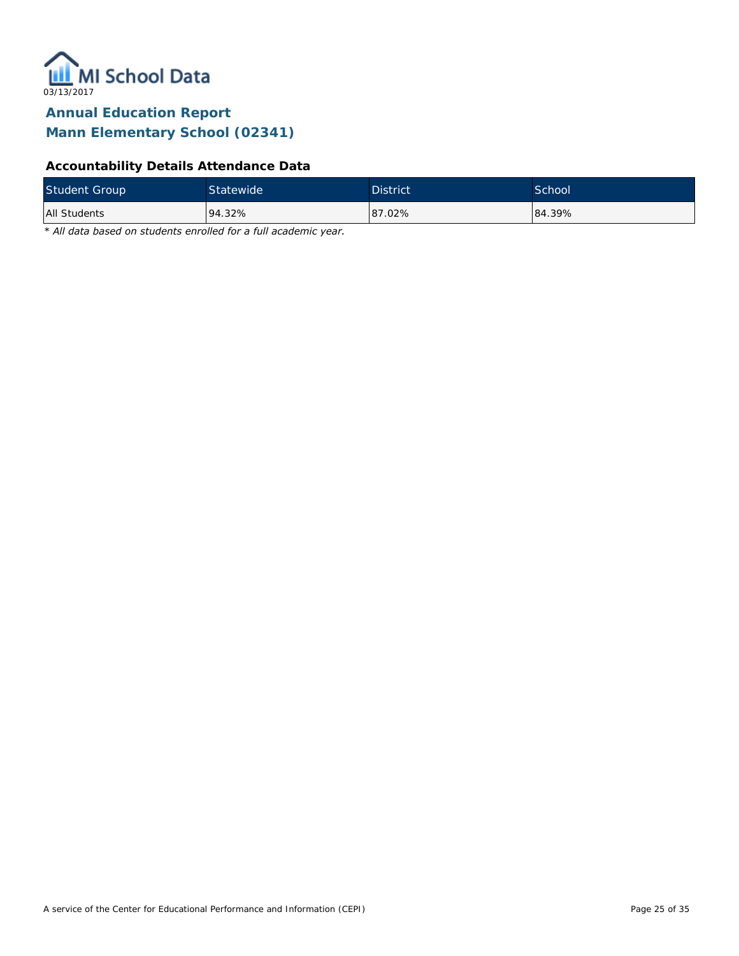

### **Accountability Details Attendance Data**

| <b>Student Group</b> | Statewide <sup>1</sup> | <b>District</b> | School |
|----------------------|------------------------|-----------------|--------|
| All Students         | 94.32%                 | 87.02%          | 84.39% |

*\* All data based on students enrolled for a full academic year.*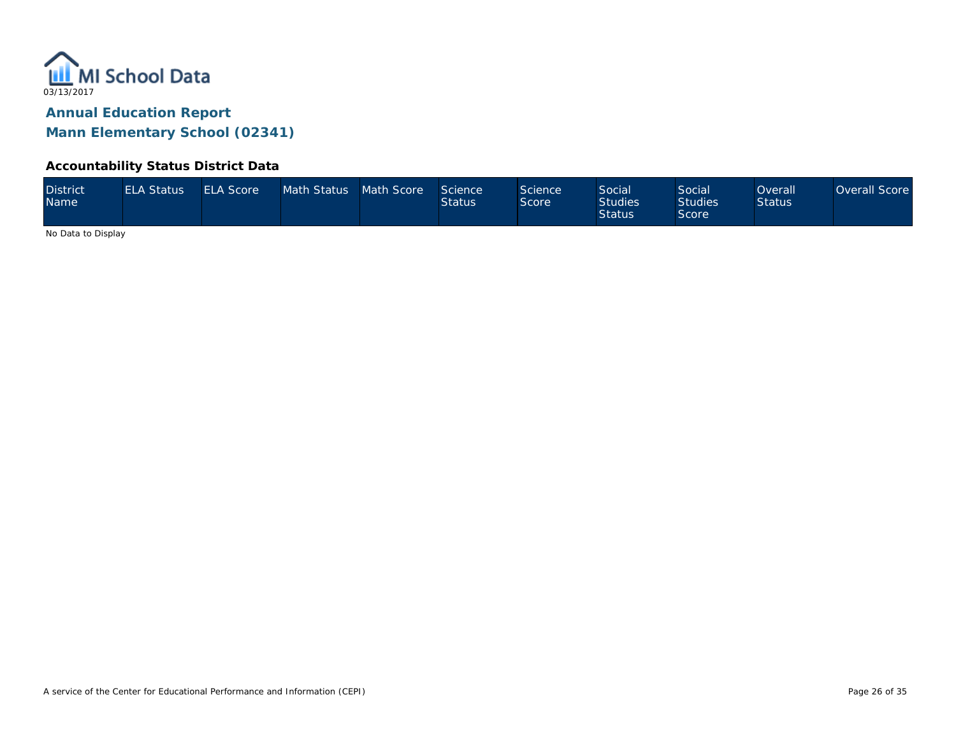

#### **Accountability Status District Data**

| <b>District</b><br>Name | <b>ELA Status</b> | <b>ELA Score</b> | Math Status Math Score |  | Science<br><b>Status</b> | Science<br>Score | <b>Social</b><br><b>Studies</b><br><b>Status</b> | Social<br><b>Studies</b><br>Score | <b>Overall</b><br><b>Status</b> | Overall Score |
|-------------------------|-------------------|------------------|------------------------|--|--------------------------|------------------|--------------------------------------------------|-----------------------------------|---------------------------------|---------------|
|-------------------------|-------------------|------------------|------------------------|--|--------------------------|------------------|--------------------------------------------------|-----------------------------------|---------------------------------|---------------|

No Data to Display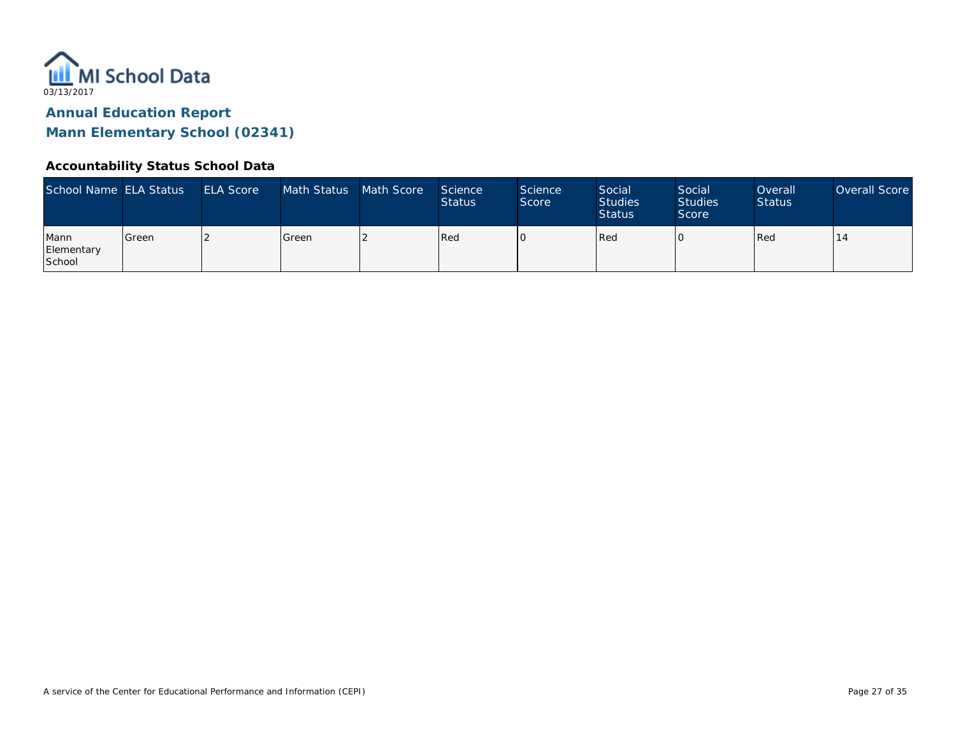

#### **Accountability Status School Data**

| School Name ELA Status       |         | <b>ELA Score</b> | Math Status | Math Score | Science<br><b>Status</b> | <b>Science</b><br>Score | Social<br><b>Studies</b><br><b>Status</b> | Social<br><b>Studies</b><br>Score | Overall<br><b>Status</b> | Overall Score |
|------------------------------|---------|------------------|-------------|------------|--------------------------|-------------------------|-------------------------------------------|-----------------------------------|--------------------------|---------------|
| Mann<br>Elementary<br>School | l Green |                  | Green       |            | Red                      |                         | Red                                       |                                   | Red                      |               |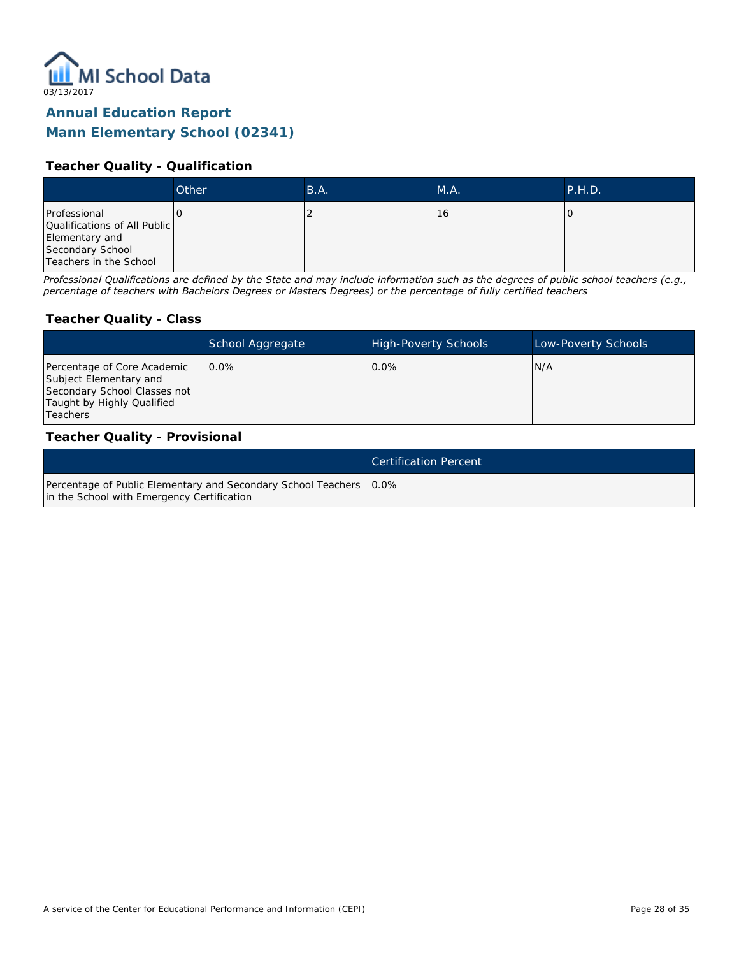

#### **Teacher Quality - Qualification**

|                                                                                                              | Other | B.A. | M.A. | P.H.D. |
|--------------------------------------------------------------------------------------------------------------|-------|------|------|--------|
| Professional<br>Qualifications of All Public<br>Elementary and<br>Secondary School<br>Teachers in the School |       |      | 16   |        |

*Professional Qualifications are defined by the State and may include information such as the degrees of public school teachers (e.g., percentage of teachers with Bachelors Degrees or Masters Degrees) or the percentage of fully certified teachers*

#### **Teacher Quality - Class**

|                                                                                                                                        | School Aggregate | <b>High-Poverty Schools</b> | Low-Poverty Schools |
|----------------------------------------------------------------------------------------------------------------------------------------|------------------|-----------------------------|---------------------|
| Percentage of Core Academic<br>Subject Elementary and<br>Secondary School Classes not<br>Taught by Highly Qualified<br><b>Teachers</b> | $0.0\%$          | $0.0\%$                     | IN/A                |

#### **Teacher Quality - Provisional**

|                                                                                                                    | <b>Certification Percent</b> |
|--------------------------------------------------------------------------------------------------------------------|------------------------------|
| Percentage of Public Elementary and Secondary School Teachers   0.0%<br>in the School with Emergency Certification |                              |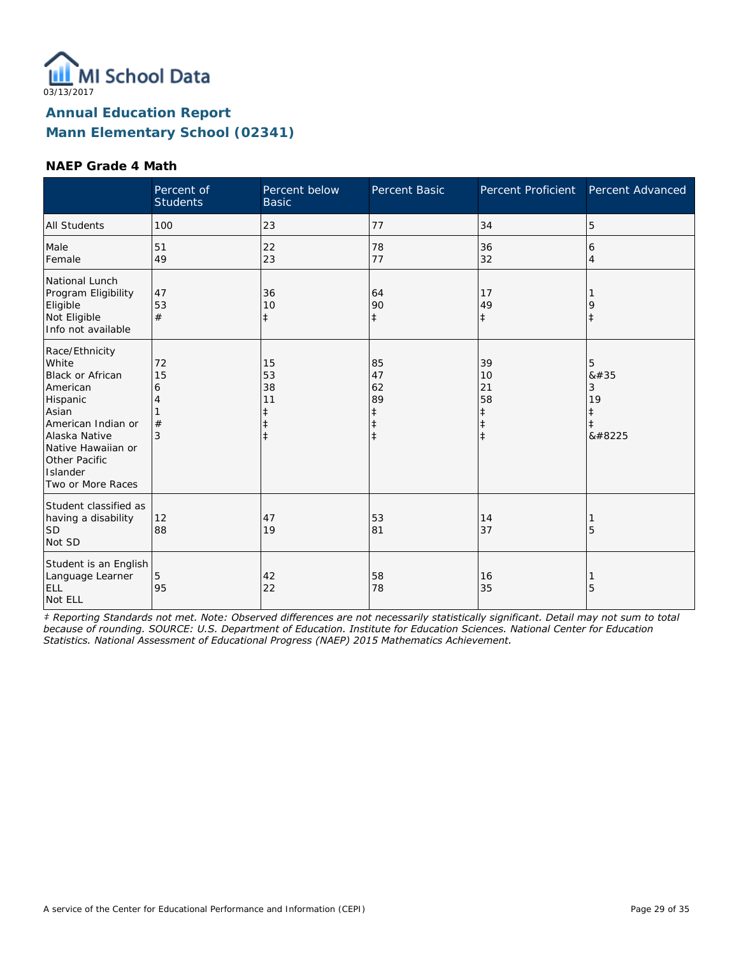

#### **NAEP Grade 4 Math**

|                                                                                                                                                                                                    | Percent of<br><b>Students</b> | Percent below<br><b>Basic</b>                                  | Percent Basic                                         | Percent Proficient                                             | Percent Advanced                                      |
|----------------------------------------------------------------------------------------------------------------------------------------------------------------------------------------------------|-------------------------------|----------------------------------------------------------------|-------------------------------------------------------|----------------------------------------------------------------|-------------------------------------------------------|
| <b>All Students</b>                                                                                                                                                                                | 100                           | 23                                                             | 77                                                    | 34                                                             | 5                                                     |
| Male<br>Female                                                                                                                                                                                     | 51<br>49                      | 22<br>23                                                       | 78<br>77                                              | 36<br>32                                                       | 6<br>4                                                |
| National Lunch<br>Program Eligibility<br>Eligible<br>Not Eligible<br>Info not available                                                                                                            | 47<br>53<br>#                 | 36<br>10<br>$\ddagger$                                         | 64<br>90<br>$\ddagger$                                | 17<br>49<br>$\ddagger$                                         | 9<br>$\ddagger$                                       |
| Race/Ethnicity<br>White<br><b>Black or African</b><br>American<br>Hispanic<br>Asian<br>American Indian or<br>Alaska Native<br>Native Hawaiian or<br>Other Pacific<br>Islander<br>Two or More Races | 72<br>15<br>6<br>4<br>#<br>3  | 15<br>53<br>38<br>11<br>$\ddagger$<br>$\ddagger$<br>$\ddagger$ | 85<br>47<br>62<br>89<br>ŧ<br>$\ddagger$<br>$\ddagger$ | 39<br>10<br>21<br>58<br>$\ddagger$<br>$\ddagger$<br>$\ddagger$ | 5<br>8#35<br>3<br>19<br>$\ddagger$<br>$\ddagger$<br>‡ |
| Student classified as<br>having a disability<br><b>SD</b><br>Not SD                                                                                                                                | 12<br>88                      | 47<br>19                                                       | 53<br>81                                              | 14<br>37                                                       | 5                                                     |
| Student is an English<br>Language Learner<br>ELL<br>Not ELL                                                                                                                                        | 5<br>95                       | 42<br>22                                                       | 58<br>78                                              | 16<br>35                                                       | 5                                                     |

*‡ Reporting Standards not met. Note: Observed differences are not necessarily statistically significant. Detail may not sum to total because of rounding. SOURCE: U.S. Department of Education. Institute for Education Sciences. National Center for Education Statistics. National Assessment of Educational Progress (NAEP) 2015 Mathematics Achievement.*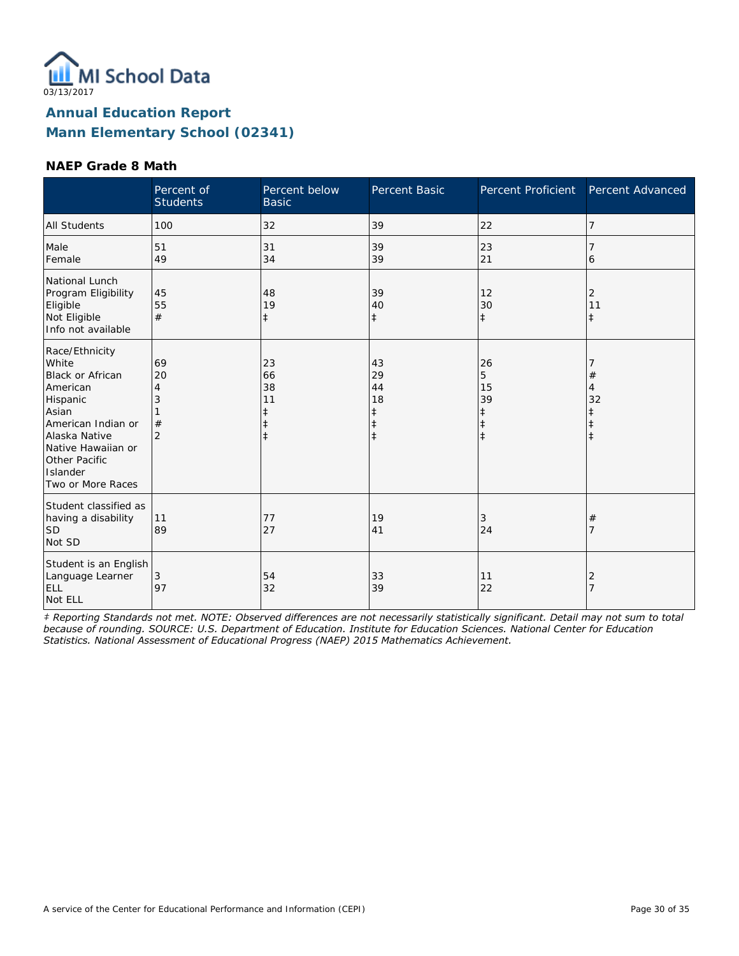

#### **NAEP Grade 8 Math**

|                                                                                                                                                                                                    | Percent of<br><b>Students</b>             | Percent below<br><b>Basic</b>                | Percent Basic                                         | Percent Proficient                     | Percent Advanced                              |
|----------------------------------------------------------------------------------------------------------------------------------------------------------------------------------------------------|-------------------------------------------|----------------------------------------------|-------------------------------------------------------|----------------------------------------|-----------------------------------------------|
| <b>All Students</b>                                                                                                                                                                                | 100                                       | 32                                           | 39                                                    | 22                                     | 7                                             |
| Male<br>Female                                                                                                                                                                                     | 51<br>49                                  | 31<br>34                                     | 39<br>39                                              | 23<br>21                               | 6                                             |
| National Lunch<br>Program Eligibility<br>Eligible<br>Not Eligible<br>Info not available                                                                                                            | 45<br>55<br>#                             | 48<br>19<br>$\ddagger$                       | 39<br>40<br>$\ddagger$                                | 12<br>30<br>$\ddagger$                 | 2<br>11<br>$\ddagger$                         |
| Race/Ethnicity<br>White<br><b>Black or African</b><br>American<br>Hispanic<br>Asian<br>American Indian or<br>Alaska Native<br>Native Hawaiian or<br>Other Pacific<br>Islander<br>Two or More Races | 69<br>20<br>4<br>3<br>#<br>$\overline{2}$ | 23<br>66<br>38<br>11<br>ŧ<br>ŧ<br>$\ddagger$ | 43<br>29<br>44<br>18<br>ŧ<br>$\ddagger$<br>$\ddagger$ | 26<br>5<br>15<br>39<br>ŧ<br>$\ddagger$ | $^{\#}$<br>$\overline{4}$<br>32<br>$\ddagger$ |
| Student classified as<br>having a disability<br><b>SD</b><br>Not SD                                                                                                                                | 11<br>89                                  | 77<br>27                                     | 19<br>41                                              | 3<br>24                                | #<br>7                                        |
| Student is an English<br>Language Learner<br>ELL<br>Not ELL                                                                                                                                        | 3<br>97                                   | 54<br>32                                     | 33<br>39                                              | 11<br>22                               | 2<br>$\overline{7}$                           |

*‡ Reporting Standards not met. NOTE: Observed differences are not necessarily statistically significant. Detail may not sum to total because of rounding. SOURCE: U.S. Department of Education. Institute for Education Sciences. National Center for Education Statistics. National Assessment of Educational Progress (NAEP) 2015 Mathematics Achievement.*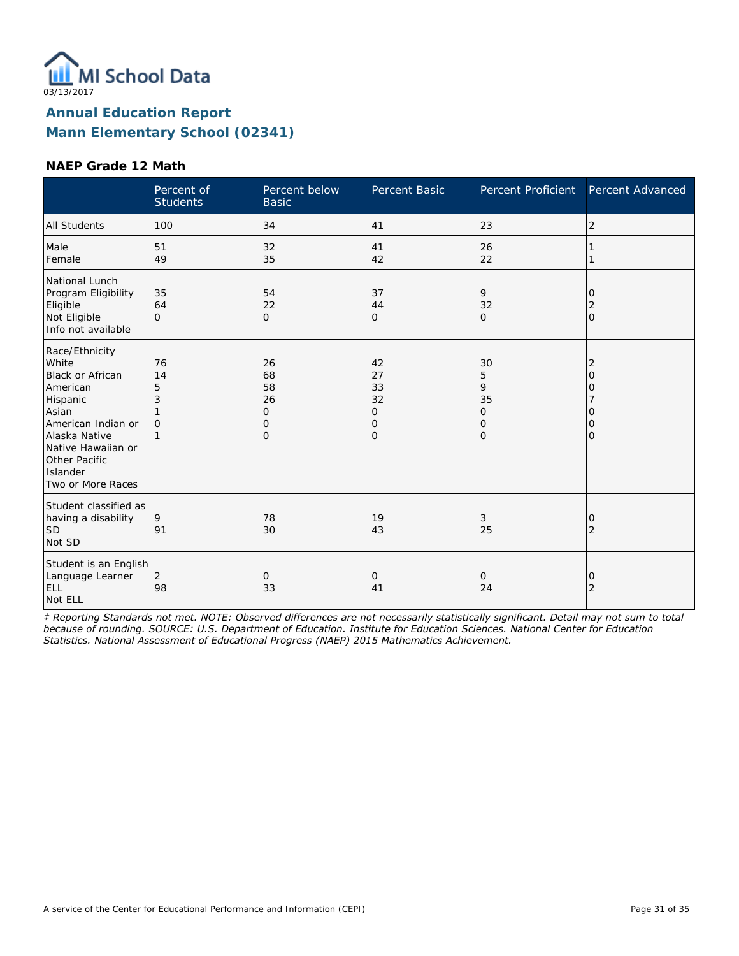

#### **NAEP Grade 12 Math**

|                                                                                                                                                                                                    | Percent of<br><b>Students</b>       | Percent below<br><b>Basic</b>                   | Percent Basic                                  | Percent Proficient                                              | Percent Advanced                               |
|----------------------------------------------------------------------------------------------------------------------------------------------------------------------------------------------------|-------------------------------------|-------------------------------------------------|------------------------------------------------|-----------------------------------------------------------------|------------------------------------------------|
| <b>All Students</b>                                                                                                                                                                                | 100                                 | 34                                              | 41                                             | 23                                                              | $\overline{2}$                                 |
| Male<br>Female                                                                                                                                                                                     | 51<br>49                            | 32<br>35                                        | 41<br>42                                       | 26<br>22                                                        |                                                |
| National Lunch<br>Program Eligibility<br>Eligible<br>Not Eligible<br>Info not available                                                                                                            | 35<br>64<br>$\Omega$                | 54<br>22<br>$\overline{O}$                      | 37<br>44<br>$\overline{O}$                     | 9<br>32<br>$\mathbf{O}$                                         | 0<br>2<br>$\mathbf{O}$                         |
| Race/Ethnicity<br>White<br><b>Black or African</b><br>American<br>Hispanic<br>Asian<br>American Indian or<br>Alaska Native<br>Native Hawaiian or<br>Other Pacific<br>Islander<br>Two or More Races | 76<br>14<br>5<br>3<br>$\mathcal{O}$ | 26<br>68<br>58<br>26<br>0<br>0<br>$\mathcal{O}$ | 42<br>27<br>33<br>32<br>0<br>0<br>$\mathbf{O}$ | 30<br>5<br>9<br>35<br>$\mathcal{O}$<br>$\mathbf{O}$<br>$\Omega$ | 2<br>$\overline{O}$<br>0<br>0<br>0<br>$\Omega$ |
| Student classified as<br>having a disability<br><b>SD</b><br>Not SD                                                                                                                                | 9<br>91                             | 78<br>30                                        | 19<br>43                                       | 3<br>25                                                         | 0<br>$\overline{2}$                            |
| Student is an English<br>Language Learner<br>ELL<br>Not ELL                                                                                                                                        | $\overline{2}$<br>98                | 0<br>33                                         | 0<br>41                                        | 0<br>24                                                         | 0<br>$\overline{2}$                            |

*‡ Reporting Standards not met. NOTE: Observed differences are not necessarily statistically significant. Detail may not sum to total because of rounding. SOURCE: U.S. Department of Education. Institute for Education Sciences. National Center for Education Statistics. National Assessment of Educational Progress (NAEP) 2015 Mathematics Achievement.*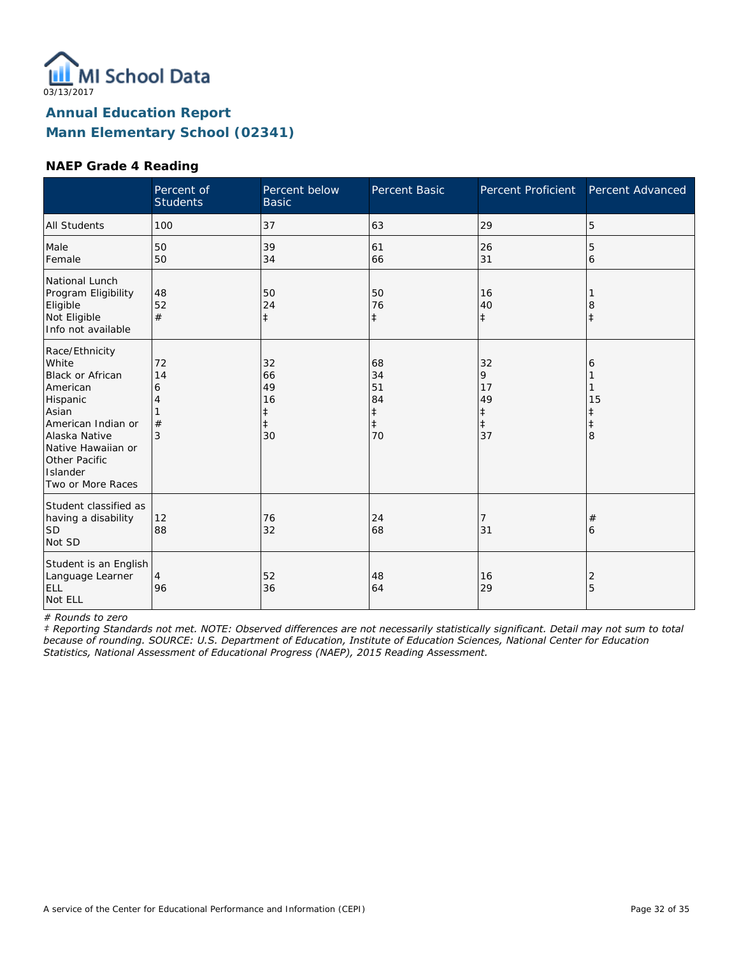

#### **NAEP Grade 4 Reading**

|                                                                                                                                                                                             | Percent of<br><b>Students</b> | Percent below<br><b>Basic</b>                 | Percent Basic                                          | Percent Proficient                           | Percent Advanced                |
|---------------------------------------------------------------------------------------------------------------------------------------------------------------------------------------------|-------------------------------|-----------------------------------------------|--------------------------------------------------------|----------------------------------------------|---------------------------------|
| <b>All Students</b>                                                                                                                                                                         | 100                           | 37                                            | 63                                                     | 29                                           | 5                               |
| Male<br>Female                                                                                                                                                                              | 50<br>50                      | 39<br>34                                      | 61<br>66                                               | 26<br>31                                     | 5<br>6                          |
| National Lunch<br>Program Eligibility<br>Eligible<br>Not Eligible<br>Info not available                                                                                                     | 48<br>52<br>#                 | 50<br>24<br>$\ddagger$                        | 50<br>76<br>$\ddagger$                                 | 16<br>40<br>$\ddagger$                       | 8<br>$\ddagger$                 |
| Race/Ethnicity<br>White<br>Black or African<br>American<br>Hispanic<br>Asian<br>American Indian or<br>Alaska Native<br>Native Hawaiian or<br>Other Pacific<br>Islander<br>Two or More Races | 72<br>14<br>6<br>#<br>3       | 32<br>66<br>49<br>16<br>ŧ<br>$\ddagger$<br>30 | 68<br>34<br>51<br>84<br>$\ddagger$<br>$\ddagger$<br>70 | 32<br>9<br>17<br>49<br>‡<br>$\ddagger$<br>37 | 6<br>15<br>ŧ<br>$\ddagger$<br>8 |
| Student classified as<br>having a disability<br><b>SD</b><br>Not SD                                                                                                                         | 12<br>88                      | 76<br>32                                      | 24<br>68                                               | 7<br>31                                      | #<br>6                          |
| Student is an English<br>Language Learner<br>ELL<br>Not ELL                                                                                                                                 | 4<br>96                       | 52<br>36                                      | 48<br>64                                               | 16<br>29                                     | 2<br>5                          |

*# Rounds to zero*

*‡ Reporting Standards not met. NOTE: Observed differences are not necessarily statistically significant. Detail may not sum to total because of rounding. SOURCE: U.S. Department of Education, Institute of Education Sciences, National Center for Education Statistics, National Assessment of Educational Progress (NAEP), 2015 Reading Assessment.*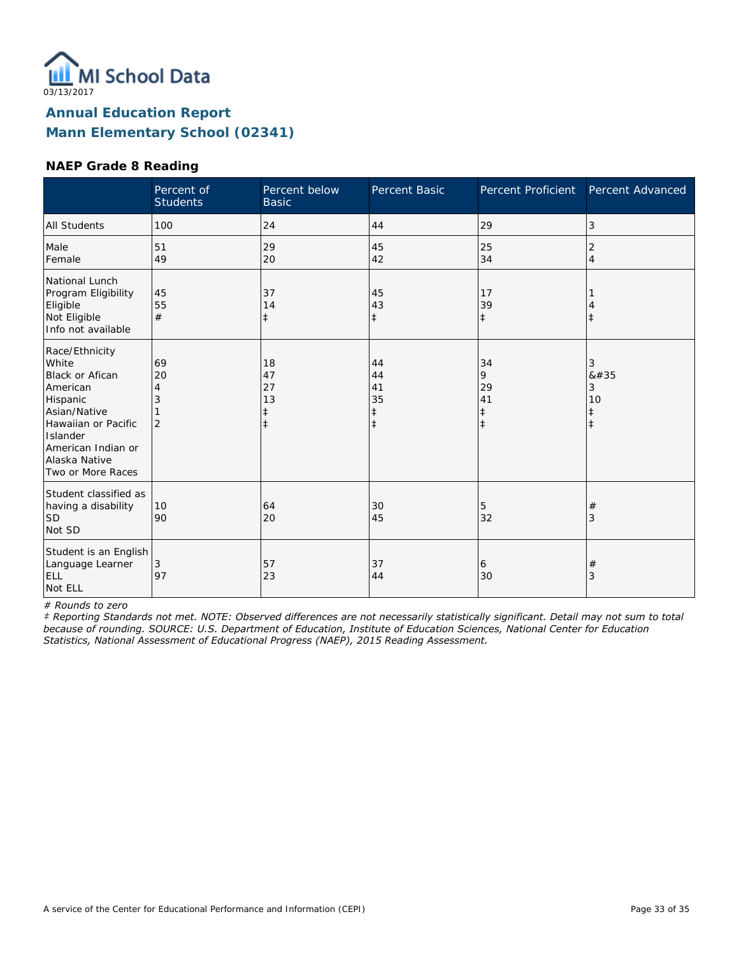

#### **NAEP Grade 8 Reading**

|                                                                                                                                                                                   | Percent of<br><b>Students</b>        | Percent below<br><b>Basic</b>           | Percent Basic                                    | <b>Percent Proficient</b>                       | Percent Advanced                              |
|-----------------------------------------------------------------------------------------------------------------------------------------------------------------------------------|--------------------------------------|-----------------------------------------|--------------------------------------------------|-------------------------------------------------|-----------------------------------------------|
| <b>All Students</b>                                                                                                                                                               | 100                                  | 24                                      | 44                                               | 29                                              | 3                                             |
| Male<br>Female                                                                                                                                                                    | 51<br>49                             | 29<br>20                                | 45<br>42                                         | 25<br>34                                        | 2<br>4                                        |
| National Lunch<br>Program Eligibility<br>Eligible<br>Not Eligible<br>Info not available                                                                                           | 45<br>55<br>#                        | 37<br>14<br>$\ddagger$                  | 45<br>43<br>$\ddagger$                           | 17<br>39<br>$\ddagger$                          | $^{\pm}$                                      |
| Race/Ethnicity<br>White<br>Black or Afican<br>American<br>Hispanic<br>Asian/Native<br>Hawaiian or Pacific<br>Islander<br>American Indian or<br>Alaska Native<br>Two or More Races | 69<br>20<br>4<br>3<br>$\overline{2}$ | 18<br>47<br>27<br>13<br>ŧ<br>$\ddagger$ | 44<br>44<br>41<br>35<br>$\ddagger$<br>$\ddagger$ | 34<br>9<br>29<br>41<br>$\ddagger$<br>$\ddagger$ | 3<br>#<br>3<br>10<br>$\ddagger$<br>$\ddagger$ |
| Student classified as<br>having a disability<br>lsd<br>Not SD                                                                                                                     | 10<br>90                             | 64<br>20                                | 30<br>45                                         | 5<br>32                                         | #<br>3                                        |
| Student is an English<br>Language Learner<br>ELL<br>Not ELL                                                                                                                       | 3<br>97                              | 57<br>23                                | 37<br>44                                         | 6<br>30                                         | $^{\#}$<br>3                                  |

*# Rounds to zero*

*‡ Reporting Standards not met. NOTE: Observed differences are not necessarily statistically significant. Detail may not sum to total because of rounding. SOURCE: U.S. Department of Education, Institute of Education Sciences, National Center for Education Statistics, National Assessment of Educational Progress (NAEP), 2015 Reading Assessment.*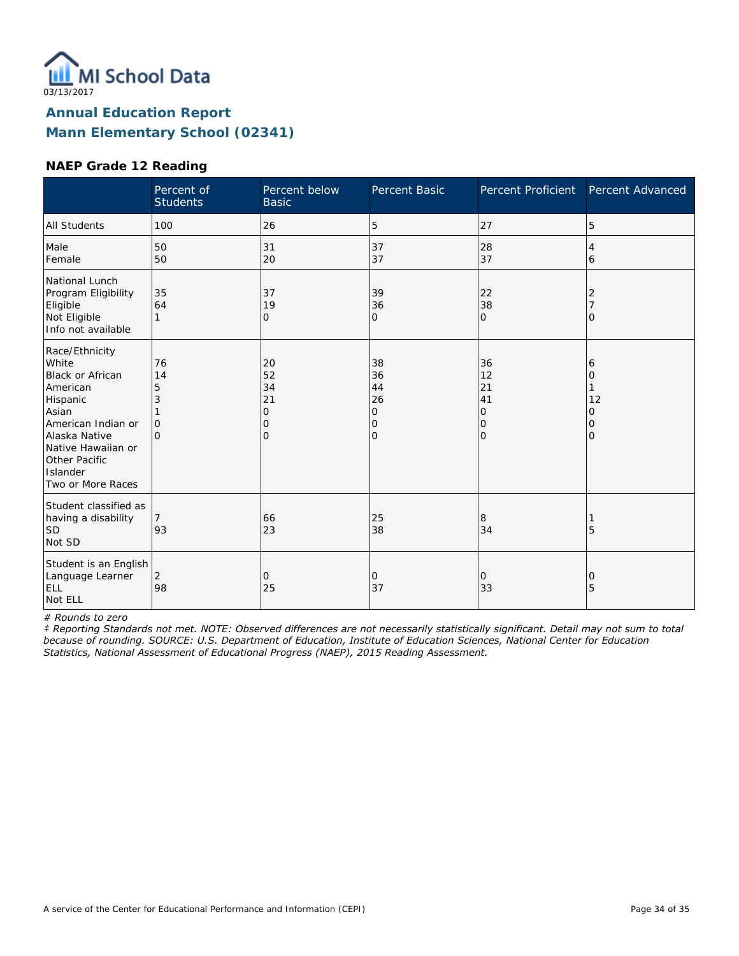

#### **NAEP Grade 12 Reading**

|                                                                                                                                                                                             | Percent of<br><b>Students</b>              | Percent below<br><b>Basic</b>              | Percent Basic                                    | Percent Proficient                               | Percent Advanced                   |
|---------------------------------------------------------------------------------------------------------------------------------------------------------------------------------------------|--------------------------------------------|--------------------------------------------|--------------------------------------------------|--------------------------------------------------|------------------------------------|
| <b>All Students</b>                                                                                                                                                                         | 100                                        | 26                                         | 5                                                | 27                                               | 5                                  |
| Male<br>Female                                                                                                                                                                              | 50<br>50                                   | 31<br>20                                   | 37<br>37                                         | 28<br>37                                         | 4<br>6                             |
| National Lunch<br>Program Eligibility<br>Eligible<br>Not Eligible<br>Info not available                                                                                                     | 35<br>64<br>1                              | 37<br>19<br>0                              | 39<br>36<br>0                                    | 22<br>38<br>$\mathbf{O}$                         | 2<br>Ω                             |
| Race/Ethnicity<br>White<br>Black or African<br>American<br>Hispanic<br>Asian<br>American Indian or<br>Alaska Native<br>Native Hawaiian or<br>Other Pacific<br>Islander<br>Two or More Races | 76<br>14<br>5<br>3<br>$\Omega$<br>$\Omega$ | 20<br>52<br>34<br>21<br>0<br>0<br>$\Omega$ | 38<br>36<br>44<br>26<br>0<br>0<br>$\overline{O}$ | 36<br>12<br>21<br>41<br>0<br>0<br>$\overline{O}$ | 6<br>0<br>12<br>0<br>0<br>$\Omega$ |
| Student classified as<br>having a disability<br><b>SD</b><br>Not SD                                                                                                                         | 93                                         | 66<br>23                                   | 25<br>38                                         | 8<br>34                                          | 5                                  |
| Student is an English<br>Language Learner<br>ELL<br>Not ELL                                                                                                                                 | $\overline{2}$<br>98                       | $\mathbf{O}$<br>25                         | 0<br>37                                          | $\mathbf{O}$<br>33                               | 0<br>5                             |

*# Rounds to zero*

*‡ Reporting Standards not met. NOTE: Observed differences are not necessarily statistically significant. Detail may not sum to total because of rounding. SOURCE: U.S. Department of Education, Institute of Education Sciences, National Center for Education Statistics, National Assessment of Educational Progress (NAEP), 2015 Reading Assessment.*